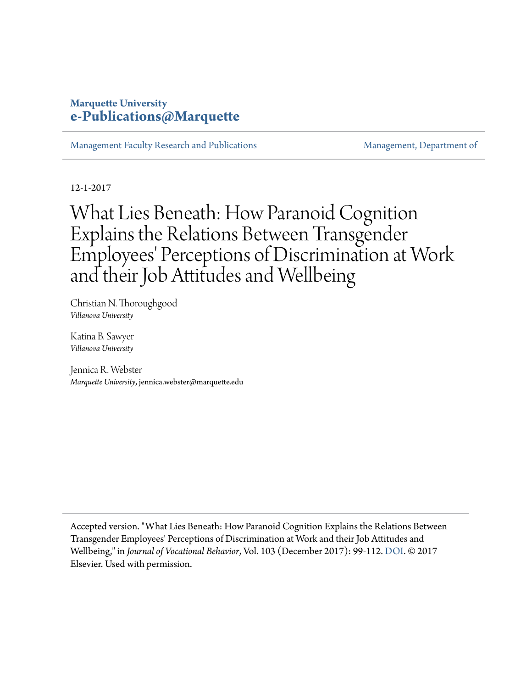#### **Marquette University [e-Publications@Marquette](https://epublications.marquette.edu)**

[Management Faculty Research and Publications](https://epublications.marquette.edu/mgmt_fac) [Management, Department of](https://epublications.marquette.edu/mgmt)

12-1-2017

## What Lies Beneath: How Paranoid Cognition Explains the Relations Between Transgender Employees' Perceptions of Discrimination at Work and their Job Attitudes and Wellbeing

Christian N. Thoroughgood *Villanova University*

Katina B. Sawyer *Villanova University*

Jennica R. Webster *Marquette University*, jennica.webster@marquette.edu

Accepted version. "What Lies Beneath: How Paranoid Cognition Explains the Relations Between Transgender Employees' Perceptions of Discrimination at Work and their Job Attitudes and Wellbeing," in *Journal of Vocational Behavior*, Vol. 103 (December 2017): 99-112. [DOI.](http://dx.doi.org/10.1016/j.jvb.2017.07.009) © 2017 Elsevier. Used with permission.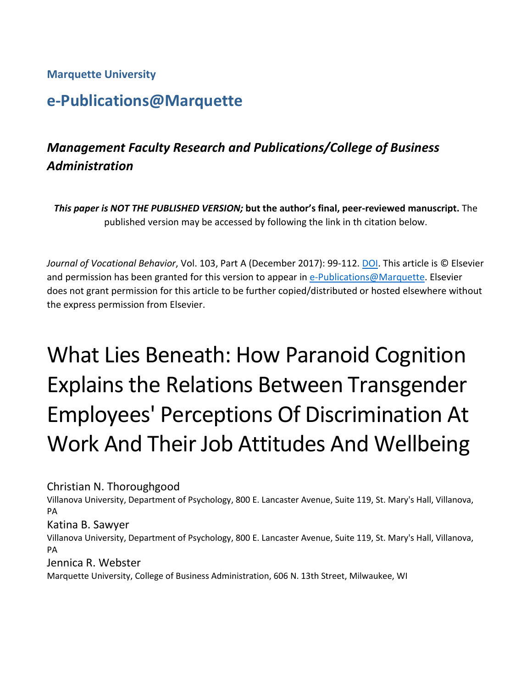**Marquette University**

## **e-Publications@Marquette**

## *Management Faculty Research and Publications/College of Business Administration*

*This paper is NOT THE PUBLISHED VERSION;* **but the author's final, peer-reviewed manuscript.** The published version may be accessed by following the link in th citation below.

*Journal of Vocational Behavior*, Vol. 103, Part A (December 2017): 99-112. [DOI.](https://doi.org/10.1016/j.jvb.2017.07.009) This article is © Elsevier and permission has been granted for this version to appear in [e-Publications@Marquette.](http://epublications.marquette.edu/) Elsevier does not grant permission for this article to be further copied/distributed or hosted elsewhere without the express permission from Elsevier.

# What Lies Beneath: How Paranoid Cognition Explains the Relations Between Transgender Employees' Perceptions Of Discrimination At Work And Their Job Attitudes And Wellbeing

Christian N. Thoroughgood

Villanova University, Department of Psychology, 800 E. Lancaster Avenue, Suite 119, St. Mary's Hall, Villanova, PA

Katina B. Sawyer

Villanova University, Department of Psychology, 800 E. Lancaster Avenue, Suite 119, St. Mary's Hall, Villanova, PA

Jennica R. Webster

Marquette University, College of Business Administration, 606 N. 13th Street, Milwaukee, WI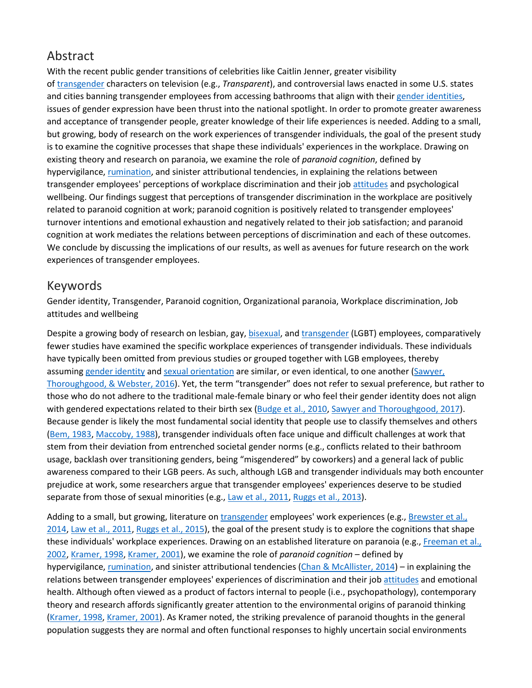## Abstract

With the recent public gender transitions of celebrities like Caitlin Jenner, greater visibility of [transgender](https://www.sciencedirect.com/topics/psychology/transgender) characters on television (e.g., *Transparent*), and controversial laws enacted in some U.S. states and cities banning transgender employees from accessing bathrooms that align with their [gender identities,](https://www.sciencedirect.com/topics/psychology/gender-identity) issues of gender expression have been thrust into the national spotlight. In order to promote greater awareness and acceptance of transgender people, greater knowledge of their life experiences is needed. Adding to a small, but growing, body of research on the work experiences of transgender individuals, the goal of the present study is to examine the cognitive processes that shape these individuals' experiences in the workplace. Drawing on existing theory and research on paranoia, we examine the role of *paranoid cognition*, defined by hypervigilance, [rumination,](https://www.sciencedirect.com/topics/psychology/rumination) and sinister attributional tendencies, in explaining the relations between transgender employees' perceptions of workplace discrimination and their job [attitudes](https://www.sciencedirect.com/topics/psychology/attitude) and psychological wellbeing. Our findings suggest that perceptions of transgender discrimination in the workplace are positively related to paranoid cognition at work; paranoid cognition is positively related to transgender employees' turnover intentions and emotional exhaustion and negatively related to their job satisfaction; and paranoid cognition at work mediates the relations between perceptions of discrimination and each of these outcomes. We conclude by discussing the implications of our results, as well as avenues for future research on the work experiences of transgender employees.

#### Keywords

Gender identity, Transgender, Paranoid cognition, Organizational paranoia, Workplace discrimination, Job attitudes and wellbeing

Despite a growing body of research on lesbian, gay, [bisexual,](https://www.sciencedirect.com/topics/psychology/bisexual) and [transgender](https://www.sciencedirect.com/topics/psychology/transgender) (LGBT) employees, comparatively fewer studies have examined the specific workplace experiences of transgender individuals. These individuals have typically been omitted from previous studies or grouped together with LGB employees, thereby assuming [gender identity](https://www.sciencedirect.com/topics/psychology/gender-identity) and [sexual orientation](https://www.sciencedirect.com/topics/psychology/sexual-orientation) are similar, or even identical, to one another [\(Sawyer,](https://www.sciencedirect.com/science/article/pii/S0001879117300684?via%3Dihub#bb0360)  [Thoroughgood, & Webster, 2016\)](https://www.sciencedirect.com/science/article/pii/S0001879117300684?via%3Dihub#bb0360). Yet, the term "transgender" does not refer to sexual preference, but rather to those who do not adhere to the traditional male-female binary or who feel their gender identity does not align with gendered expectations related to their birth sex [\(Budge et al., 2010,](https://www.sciencedirect.com/science/article/pii/S0001879117300684?via%3Dihub#bb0070) [Sawyer and Thoroughgood, 2017\)](https://www.sciencedirect.com/science/article/pii/S0001879117300684?via%3Dihub#bb0355). Because gender is likely the most fundamental social identity that people use to classify themselves and others [\(Bem, 1983,](https://www.sciencedirect.com/science/article/pii/S0001879117300684?via%3Dihub#bb0045) [Maccoby, 1988\)](https://www.sciencedirect.com/science/article/pii/S0001879117300684?via%3Dihub#bb0270), transgender individuals often face unique and difficult challenges at work that stem from their deviation from entrenched societal gender norms (e.g., conflicts related to their bathroom usage, backlash over transitioning genders, being "misgendered" by coworkers) and a general lack of public awareness compared to their LGB peers. As such, although LGB and transgender individuals may both encounter prejudice at work, some researchers argue that transgender employees' experiences deserve to be studied separate from those of sexual minorities (e.g., [Law et al., 2011,](https://www.sciencedirect.com/science/article/pii/S0001879117300684?via%3Dihub#bb0245) [Ruggs et al., 2013\)](https://www.sciencedirect.com/science/article/pii/S0001879117300684?via%3Dihub#bb0345).

Adding to a small, but growing, literature on [transgender](https://www.sciencedirect.com/topics/psychology/transgender) employees' work experiences (e.g., [Brewster et al.,](https://www.sciencedirect.com/science/article/pii/S0001879117300684?via%3Dihub#bb0055)  [2014,](https://www.sciencedirect.com/science/article/pii/S0001879117300684?via%3Dihub#bb0055) [Law et al., 2011,](https://www.sciencedirect.com/science/article/pii/S0001879117300684?via%3Dihub#bb0245) [Ruggs et al., 2015\)](https://www.sciencedirect.com/science/article/pii/S0001879117300684?via%3Dihub#bb0350), the goal of the present study is to explore the cognitions that shape these individuals' workplace experiences. Drawing on an established literature on paranoia (e.g., [Freeman et al.,](https://www.sciencedirect.com/science/article/pii/S0001879117300684?via%3Dihub#bb0155)  [2002,](https://www.sciencedirect.com/science/article/pii/S0001879117300684?via%3Dihub#bb0155) [Kramer, 1998,](https://www.sciencedirect.com/science/article/pii/S0001879117300684?via%3Dihub#bb0235) [Kramer, 2001\)](https://www.sciencedirect.com/science/article/pii/S0001879117300684?via%3Dihub#bb0240), we examine the role of *paranoid cognition* – defined by hypervigilance, [rumination,](https://www.sciencedirect.com/topics/psychology/rumination) and sinister attributional tendencies [\(Chan & McAllister, 2014\)](https://www.sciencedirect.com/science/article/pii/S0001879117300684?via%3Dihub#bb0090) – in explaining the relations between transgender employees' experiences of discrimination and their job [attitudes](https://www.sciencedirect.com/topics/psychology/attitude) and emotional health. Although often viewed as a product of factors internal to people (i.e., psychopathology), contemporary theory and research affords significantly greater attention to the environmental origins of paranoid thinking [\(Kramer, 1998,](https://www.sciencedirect.com/science/article/pii/S0001879117300684?via%3Dihub#bb0235) [Kramer, 2001\)](https://www.sciencedirect.com/science/article/pii/S0001879117300684?via%3Dihub#bb0240). As Kramer noted, the striking prevalence of paranoid thoughts in the general population suggests they are normal and often functional responses to highly uncertain social environments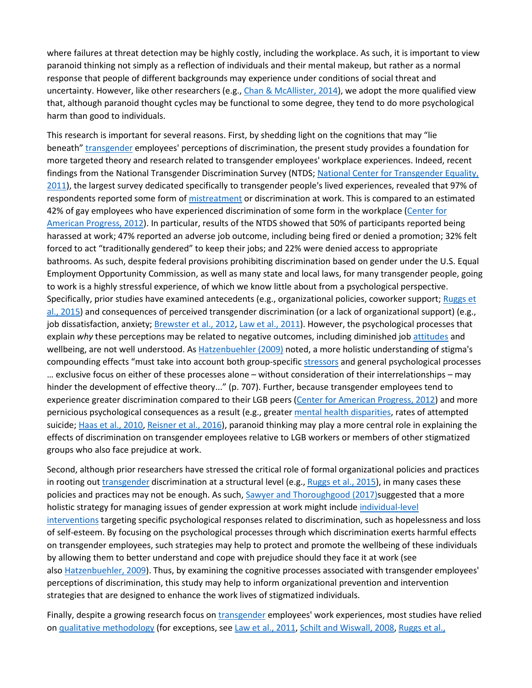where failures at threat detection may be highly costly, including the workplace. As such, it is important to view paranoid thinking not simply as a reflection of individuals and their mental makeup, but rather as a normal response that people of different backgrounds may experience under conditions of social threat and uncertainty. However, like other researchers (e.g., [Chan & McAllister, 2014\)](https://www.sciencedirect.com/science/article/pii/S0001879117300684?via%3Dihub#bb0090), we adopt the more qualified view that, although paranoid thought cycles may be functional to some degree, they tend to do more psychological harm than good to individuals.

This research is important for several reasons. First, by shedding light on the cognitions that may "lie beneath" [transgender](https://www.sciencedirect.com/topics/psychology/transgender) employees' perceptions of discrimination, the present study provides a foundation for more targeted theory and research related to transgender employees' workplace experiences. Indeed, recent findings from the National Transgender Discrimination Survey (NTDS; [National Center for Transgender Equality,](https://www.sciencedirect.com/science/article/pii/S0001879117300684?via%3Dihub#bb0310)  [2011\)](https://www.sciencedirect.com/science/article/pii/S0001879117300684?via%3Dihub#bb0310), the largest survey dedicated specifically to transgender people's lived experiences, revealed that 97% of respondents reported some form of [mistreatment](https://www.sciencedirect.com/topics/psychology/mistreatment) or discrimination at work. This is compared to an estimated 42% of gay employees who have experienced discrimination of some form in the workplace [\(Center for](https://www.sciencedirect.com/science/article/pii/S0001879117300684?via%3Dihub#bb2015)  [American Progress, 2012\)](https://www.sciencedirect.com/science/article/pii/S0001879117300684?via%3Dihub#bb2015). In particular, results of the NTDS showed that 50% of participants reported being harassed at work; 47% reported an adverse job outcome, including being fired or denied a promotion; 32% felt forced to act "traditionally gendered" to keep their jobs; and 22% were denied access to appropriate bathrooms. As such, despite federal provisions prohibiting discrimination based on gender under the U.S. Equal Employment Opportunity Commission, as well as many state and local laws, for many transgender people, going to work is a highly stressful experience, of which we know little about from a psychological perspective. Specifically, prior studies have examined antecedents (e.g., organizational policies, coworker support; Ruggs et [al., 2015\)](https://www.sciencedirect.com/science/article/pii/S0001879117300684?via%3Dihub#bb0350) and consequences of perceived transgender discrimination (or a lack of organizational support) (e.g., job dissatisfaction, anxiety; [Brewster et al., 2012,](https://www.sciencedirect.com/science/article/pii/S0001879117300684?via%3Dihub#bb0050) [Law et al., 2011\)](https://www.sciencedirect.com/science/article/pii/S0001879117300684?via%3Dihub#bb0245). However, the psychological processes that explain *why* these perceptions may be related to negative outcomes, including diminished job [attitudes](https://www.sciencedirect.com/topics/psychology/attitude) and wellbeing, are not well understood. As [Hatzenbuehler \(2009\)](https://www.sciencedirect.com/science/article/pii/S0001879117300684?via%3Dihub#bb0185) noted, a more holistic understanding of stigma's compounding effects "must take into account both group-specific [stressors](https://www.sciencedirect.com/topics/psychology/stressors) and general psychological processes … exclusive focus on either of these processes alone – without consideration of their interrelationships – may hinder the development of effective theory..." (p. 707). Further, because transgender employees tend to experience greater discrimination compared to their LGB peers [\(Center for American Progress, 2012\)](https://www.sciencedirect.com/science/article/pii/S0001879117300684?via%3Dihub#bb2015) and more pernicious psychological consequences as a result (e.g., greater [mental health disparities,](https://www.sciencedirect.com/topics/psychology/mental-health-disparity) rates of attempted suicide; [Haas et al., 2010,](https://www.sciencedirect.com/science/article/pii/S0001879117300684?via%3Dihub#bb0175) [Reisner et al., 2016\)](https://www.sciencedirect.com/science/article/pii/S0001879117300684?via%3Dihub#bb0335), paranoid thinking may play a more central role in explaining the effects of discrimination on transgender employees relative to LGB workers or members of other stigmatized groups who also face prejudice at work.

Second, although prior researchers have stressed the critical role of formal organizational policies and practices in rooting out *[transgender](https://www.sciencedirect.com/topics/psychology/transgender)* discrimination at a structural level (e.g., [Ruggs et al., 2015\)](https://www.sciencedirect.com/science/article/pii/S0001879117300684?via%3Dihub#bb0350), in many cases these policies and practices may not be enough. As such, [Sawyer and Thoroughgood \(2017\)s](https://www.sciencedirect.com/science/article/pii/S0001879117300684?via%3Dihub#bb0355)uggested that a more holistic strategy for managing issues of gender expression at work might include [individual-level](https://www.sciencedirect.com/topics/psychology/individual-level-intervention)  [interventions](https://www.sciencedirect.com/topics/psychology/individual-level-intervention) targeting specific psychological responses related to discrimination, such as hopelessness and loss of self-esteem. By focusing on the psychological processes through which discrimination exerts harmful effects on transgender employees, such strategies may help to protect and promote the wellbeing of these individuals by allowing them to better understand and cope with prejudice should they face it at work (see also [Hatzenbuehler, 2009\)](https://www.sciencedirect.com/science/article/pii/S0001879117300684?via%3Dihub#bb0185). Thus, by examining the cognitive processes associated with transgender employees' perceptions of discrimination, this study may help to inform organizational prevention and intervention strategies that are designed to enhance the work lives of stigmatized individuals.

Finally, despite a growing research focus on [transgender](https://www.sciencedirect.com/topics/psychology/transgender) employees' work experiences, most studies have relied on [qualitative methodology](https://www.sciencedirect.com/topics/psychology/qualitative-methodology) (for exceptions, see [Law et al., 2011,](https://www.sciencedirect.com/science/article/pii/S0001879117300684?via%3Dihub#bb0245) [Schilt and Wiswall, 2008,](https://www.sciencedirect.com/science/article/pii/S0001879117300684?via%3Dihub#bb0385) Ruggs et al.,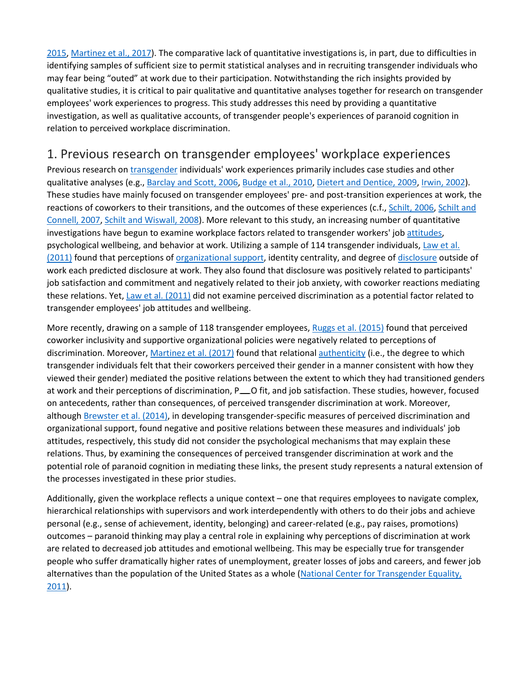[2015,](https://www.sciencedirect.com/science/article/pii/S0001879117300684?via%3Dihub#bb0350) [Martinez et al., 2017\)](https://www.sciencedirect.com/science/article/pii/S0001879117300684?via%3Dihub#bb0285). The comparative lack of quantitative investigations is, in part, due to difficulties in identifying samples of sufficient size to permit statistical analyses and in recruiting transgender individuals who may fear being "outed" at work due to their participation. Notwithstanding the rich insights provided by qualitative studies, it is critical to pair qualitative and quantitative analyses together for research on transgender employees' work experiences to progress. This study addresses this need by providing a quantitative investigation, as well as qualitative accounts, of transgender people's experiences of paranoid cognition in relation to perceived workplace discrimination.

#### 1. Previous research on transgender employees' workplace experiences

Previous research on [transgender](https://www.sciencedirect.com/topics/psychology/transgender) individuals' work experiences primarily includes case studies and other qualitative analyses (e.g., [Barclay and Scott, 2006,](https://www.sciencedirect.com/science/article/pii/S0001879117300684?via%3Dihub#bb0025) [Budge et al., 2010,](https://www.sciencedirect.com/science/article/pii/S0001879117300684?via%3Dihub#bb0070) [Dietert and Dentice, 2009,](https://www.sciencedirect.com/science/article/pii/S0001879117300684?via%3Dihub#bb0125) [Irwin, 2002\)](https://www.sciencedirect.com/science/article/pii/S0001879117300684?via%3Dihub#bb0200). These studies have mainly focused on transgender employees' pre- and post-transition experiences at work, the reactions of coworkers to their transitions, and the outcomes of these experiences (c.f., [Schilt, 2006,](https://www.sciencedirect.com/science/article/pii/S0001879117300684?via%3Dihub#bb0375) Schilt and [Connell, 2007,](https://www.sciencedirect.com/science/article/pii/S0001879117300684?via%3Dihub#bb0380) [Schilt and Wiswall, 2008\)](https://www.sciencedirect.com/science/article/pii/S0001879117300684?via%3Dihub#bb0385). More relevant to this study, an increasing number of quantitative investigations have begun to examine workplace factors related to transgender workers' job [attitudes,](https://www.sciencedirect.com/topics/psychology/attitude) psychological wellbeing, and behavior at work. Utilizing a sample of 114 transgender individuals, [Law et al.](https://www.sciencedirect.com/science/article/pii/S0001879117300684?via%3Dihub#bb0245)  [\(2011\)](https://www.sciencedirect.com/science/article/pii/S0001879117300684?via%3Dihub#bb0245) found that perceptions of [organizational support,](https://www.sciencedirect.com/topics/psychology/organizational-support) identity centrality, and degree of [disclosure](https://www.sciencedirect.com/topics/psychology/disclosure) outside of work each predicted disclosure at work. They also found that disclosure was positively related to participants' job satisfaction and commitment and negatively related to their job anxiety, with coworker reactions mediating these relations. Yet, [Law et al. \(2011\)](https://www.sciencedirect.com/science/article/pii/S0001879117300684?via%3Dihub#bb0245) did not examine perceived discrimination as a potential factor related to transgender employees' job attitudes and wellbeing.

More recently, drawing on a sample of 118 transgender employees, [Ruggs et al. \(2015\)](https://www.sciencedirect.com/science/article/pii/S0001879117300684?via%3Dihub#bb0350) found that perceived coworker inclusivity and supportive organizational policies were negatively related to perceptions of discrimination. Moreover, [Martinez et al. \(2017\)](https://www.sciencedirect.com/science/article/pii/S0001879117300684?via%3Dihub#bb0285) found that relational [authenticity](https://www.sciencedirect.com/topics/psychology/authenticity) (i.e., the degree to which transgender individuals felt that their coworkers perceived their gender in a manner consistent with how they viewed their gender) mediated the positive relations between the extent to which they had transitioned genders at work and their perceptions of discrimination, P<sub>10</sub> O fit, and job satisfaction. These studies, however, focused on antecedents, rather than consequences, of perceived transgender discrimination at work. Moreover, although [Brewster et al. \(2014\),](https://www.sciencedirect.com/science/article/pii/S0001879117300684?via%3Dihub#bb0055) in developing transgender-specific measures of perceived discrimination and organizational support, found negative and positive relations between these measures and individuals' job attitudes, respectively, this study did not consider the psychological mechanisms that may explain these relations. Thus, by examining the consequences of perceived transgender discrimination at work and the potential role of paranoid cognition in mediating these links, the present study represents a natural extension of the processes investigated in these prior studies.

Additionally, given the workplace reflects a unique context – one that requires employees to navigate complex, hierarchical relationships with supervisors and work interdependently with others to do their jobs and achieve personal (e.g., sense of achievement, identity, belonging) and career-related (e.g., pay raises, promotions) outcomes – paranoid thinking may play a central role in explaining why perceptions of discrimination at work are related to decreased job attitudes and emotional wellbeing. This may be especially true for transgender people who suffer dramatically higher rates of unemployment, greater losses of jobs and careers, and fewer job alternatives than the population of the United States as a whole [\(National Center for Transgender Equality,](https://www.sciencedirect.com/science/article/pii/S0001879117300684?via%3Dihub#bb0310)  [2011\)](https://www.sciencedirect.com/science/article/pii/S0001879117300684?via%3Dihub#bb0310).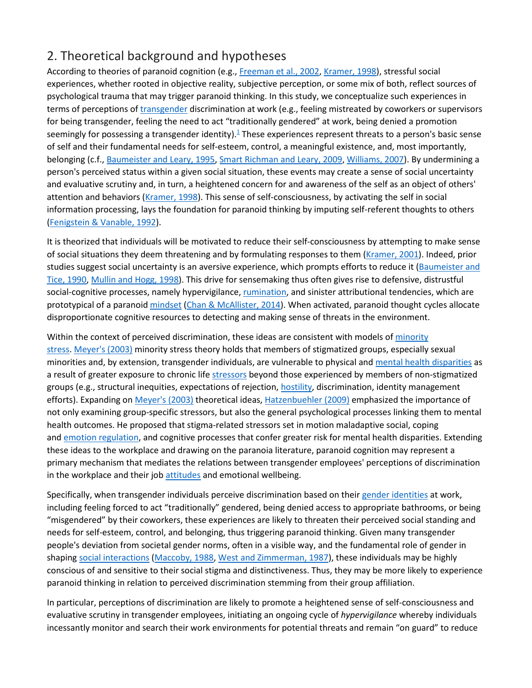## 2. Theoretical background and hypotheses

According to theories of paranoid cognition (e.g., [Freeman et al., 2002,](https://www.sciencedirect.com/science/article/pii/S0001879117300684?via%3Dihub#bb0155) [Kramer, 1998\)](https://www.sciencedirect.com/science/article/pii/S0001879117300684?via%3Dihub#bb0235), stressful social experiences, whether rooted in objective reality, subjective perception, or some mix of both, reflect sources of psychological trauma that may trigger paranoid thinking. In this study, we conceptualize such experiences in terms of perceptions of [transgender](https://www.sciencedirect.com/topics/psychology/transgender) discrimination at work (e.g., feeling mistreated by coworkers or supervisors for being transgender, feeling the need to act "traditionally gendered" at work, being denied a promotion seemingly for possessing a transgender identity). $\frac{1}{2}$  These experiences represent threats to a person's basic sense of self and their fundamental needs for self-esteem, control, a meaningful existence, and, most importantly, belonging (c.f., [Baumeister and Leary, 1995,](https://www.sciencedirect.com/science/article/pii/S0001879117300684?via%3Dihub#bb0035) [Smart Richman and Leary, 2009,](https://www.sciencedirect.com/science/article/pii/S0001879117300684?via%3Dihub#bb0395) [Williams, 2007\)](https://www.sciencedirect.com/science/article/pii/S0001879117300684?via%3Dihub#bb0445). By undermining a person's perceived status within a given social situation, these events may create a sense of social uncertainty and evaluative scrutiny and, in turn, a heightened concern for and awareness of the self as an object of others' attention and behaviors [\(Kramer, 1998\)](https://www.sciencedirect.com/science/article/pii/S0001879117300684?via%3Dihub#bb0235). This sense of self-consciousness, by activating the self in social information processing, lays the foundation for paranoid thinking by imputing self-referent thoughts to others [\(Fenigstein & Vanable, 1992\)](https://www.sciencedirect.com/science/article/pii/S0001879117300684?via%3Dihub#bb0130).

It is theorized that individuals will be motivated to reduce their self-consciousness by attempting to make sense of social situations they deem threatening and by formulating responses to them [\(Kramer, 2001\)](https://www.sciencedirect.com/science/article/pii/S0001879117300684?via%3Dihub#bb0240). Indeed, prior studies suggest social uncertainty is an aversive experience, which prompts efforts to reduce it (Baumeister and [Tice, 1990,](https://www.sciencedirect.com/science/article/pii/S0001879117300684?via%3Dihub#bb0040) [Mullin and Hogg, 1998\)](https://www.sciencedirect.com/science/article/pii/S0001879117300684?via%3Dihub#bb0300). This drive for sensemaking thus often gives rise to defensive, distrustful social-cognitive processes, namely hypervigilance, [rumination,](https://www.sciencedirect.com/topics/psychology/rumination) and sinister attributional tendencies, which are prototypical of a paranoid [mindset](https://www.sciencedirect.com/topics/psychology/mindset) [\(Chan & McAllister, 2014\)](https://www.sciencedirect.com/science/article/pii/S0001879117300684?via%3Dihub#bb0090). When activated, paranoid thought cycles allocate disproportionate cognitive resources to detecting and making sense of threats in the environment.

Within the context of perceived discrimination, these ideas are consistent with models of minority [stress.](https://www.sciencedirect.com/topics/psychology/minority-stress) [Meyer's \(2003\)](https://www.sciencedirect.com/science/article/pii/S0001879117300684?via%3Dihub#bb2020) minority stress theory holds that members of stigmatized groups, especially sexual minorities and, by extension, transgender individuals, are vulnerable to physical and [mental health disparities](https://www.sciencedirect.com/topics/psychology/mental-health-disparity) as a result of greater exposure to chronic life [stressors](https://www.sciencedirect.com/topics/psychology/stressors) beyond those experienced by members of non-stigmatized groups (e.g., structural inequities, expectations of rejection, [hostility,](https://www.sciencedirect.com/topics/psychology/hostility) discrimination, identity management efforts). Expanding on [Meyer's \(2003\)](https://www.sciencedirect.com/science/article/pii/S0001879117300684?via%3Dihub#bb2020) theoretical ideas, [Hatzenbuehler \(2009\)](https://www.sciencedirect.com/science/article/pii/S0001879117300684?via%3Dihub#bb0185) emphasized the importance of not only examining group-specific stressors, but also the general psychological processes linking them to mental health outcomes. He proposed that stigma-related stressors set in motion maladaptive social, coping and [emotion regulation,](https://www.sciencedirect.com/topics/psychology/emotion-regulation) and cognitive processes that confer greater risk for mental health disparities. Extending these ideas to the workplace and drawing on the paranoia literature, paranoid cognition may represent a primary mechanism that mediates the relations between transgender employees' perceptions of discrimination in the workplace and their job [attitudes](https://www.sciencedirect.com/topics/psychology/attitude) and emotional wellbeing.

Specifically, when transgender individuals perceive discrimination based on their [gender identities](https://www.sciencedirect.com/topics/psychology/gender-identity) at work, including feeling forced to act "traditionally" gendered, being denied access to appropriate bathrooms, or being "misgendered" by their coworkers, these experiences are likely to threaten their perceived social standing and needs for self-esteem, control, and belonging, thus triggering paranoid thinking. Given many transgender people's deviation from societal gender norms, often in a visible way, and the fundamental role of gender in shaping [social interactions](https://www.sciencedirect.com/topics/psychology/social-interaction) [\(Maccoby, 1988,](https://www.sciencedirect.com/science/article/pii/S0001879117300684?via%3Dihub#bb0270) [West and Zimmerman, 1987\)](https://www.sciencedirect.com/science/article/pii/S0001879117300684?via%3Dihub#bb0435), these individuals may be highly conscious of and sensitive to their social stigma and distinctiveness. Thus, they may be more likely to experience paranoid thinking in relation to perceived discrimination stemming from their group affiliation.

In particular, perceptions of discrimination are likely to promote a heightened sense of self-consciousness and evaluative scrutiny in transgender employees, initiating an ongoing cycle of *hypervigilance* whereby individuals incessantly monitor and search their work environments for potential threats and remain "on guard" to reduce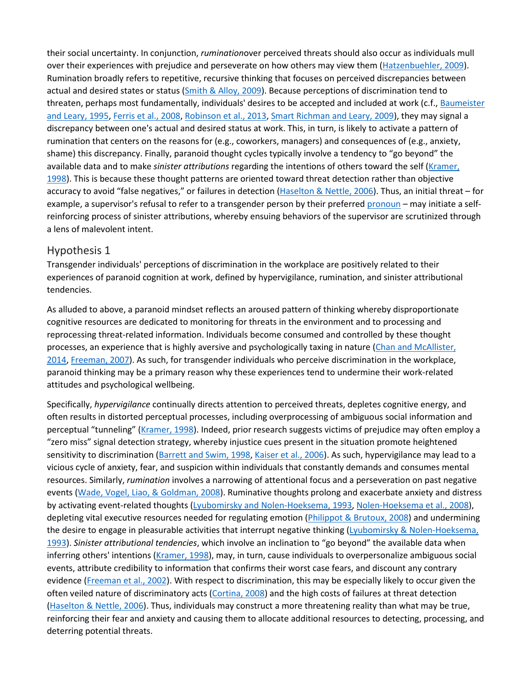their social uncertainty. In conjunction, *rumination*over perceived threats should also occur as individuals mull over their experiences with prejudice and perseverate on how others may view them [\(Hatzenbuehler, 2009\)](https://www.sciencedirect.com/science/article/pii/S0001879117300684?via%3Dihub#bb0185). Rumination broadly refers to repetitive, recursive thinking that focuses on perceived discrepancies between actual and desired states or status [\(Smith & Alloy, 2009\)](https://www.sciencedirect.com/science/article/pii/S0001879117300684?via%3Dihub#bb0400). Because perceptions of discrimination tend to threaten, perhaps most fundamentally, individuals' desires to be accepted and included at work (c.f., [Baumeister](https://www.sciencedirect.com/science/article/pii/S0001879117300684?via%3Dihub#bb0035)  [and Leary, 1995,](https://www.sciencedirect.com/science/article/pii/S0001879117300684?via%3Dihub#bb0035) [Ferris et al., 2008,](https://www.sciencedirect.com/science/article/pii/S0001879117300684?via%3Dihub#bb0135) [Robinson et al., 2013,](https://www.sciencedirect.com/science/article/pii/S0001879117300684?via%3Dihub#bb0340) [Smart Richman and Leary, 2009\)](https://www.sciencedirect.com/science/article/pii/S0001879117300684?via%3Dihub#bb0395), they may signal a discrepancy between one's actual and desired status at work. This, in turn, is likely to activate a pattern of rumination that centers on the reasons for (e.g., coworkers, managers) and consequences of (e.g., anxiety, shame) this discrepancy. Finally, paranoid thought cycles typically involve a tendency to "go beyond" the available data and to make *sinister attributions* regarding the intentions of others toward the self [\(Kramer,](https://www.sciencedirect.com/science/article/pii/S0001879117300684?via%3Dihub#bb0235)  [1998\)](https://www.sciencedirect.com/science/article/pii/S0001879117300684?via%3Dihub#bb0235). This is because these thought patterns are oriented toward threat detection rather than objective accuracy to avoid "false negatives," or failures in detection [\(Haselton & Nettle, 2006\)](https://www.sciencedirect.com/science/article/pii/S0001879117300684?via%3Dihub#bb0180). Thus, an initial threat – for example, a supervisor's refusal to refer to a transgender person by their preferred [pronoun](https://www.sciencedirect.com/topics/psychology/pronouns) – may initiate a selfreinforcing process of sinister attributions, whereby ensuing behaviors of the supervisor are scrutinized through a lens of malevolent intent.

#### Hypothesis 1

Transgender individuals' perceptions of discrimination in the workplace are positively related to their experiences of paranoid cognition at work, defined by hypervigilance, rumination, and sinister attributional tendencies.

As alluded to above, a paranoid mindset reflects an aroused pattern of thinking whereby disproportionate cognitive resources are dedicated to monitoring for threats in the environment and to processing and reprocessing threat-related information. Individuals become consumed and controlled by these thought processes, an experience that is highly aversive and psychologically taxing in nature (Chan and McAllister, [2014,](https://www.sciencedirect.com/science/article/pii/S0001879117300684?via%3Dihub#bb0090) [Freeman, 2007\)](https://www.sciencedirect.com/science/article/pii/S0001879117300684?via%3Dihub#bb0140). As such, for transgender individuals who perceive discrimination in the workplace, paranoid thinking may be a primary reason why these experiences tend to undermine their work-related attitudes and psychological wellbeing.

Specifically, *hypervigilance* continually directs attention to perceived threats, depletes cognitive energy, and often results in distorted perceptual processes, including overprocessing of ambiguous social information and perceptual "tunneling" [\(Kramer, 1998\)](https://www.sciencedirect.com/science/article/pii/S0001879117300684?via%3Dihub#bb0235). Indeed, prior research suggests victims of prejudice may often employ a "zero miss" signal detection strategy, whereby injustice cues present in the situation promote heightened sensitivity to discrimination [\(Barrett and Swim, 1998,](https://www.sciencedirect.com/science/article/pii/S0001879117300684?via%3Dihub#bb0030) [Kaiser et al., 2006\)](https://www.sciencedirect.com/science/article/pii/S0001879117300684?via%3Dihub#bb0215). As such, hypervigilance may lead to a vicious cycle of anxiety, fear, and suspicion within individuals that constantly demands and consumes mental resources. Similarly, *rumination* involves a narrowing of attentional focus and a perseveration on past negative events [\(Wade, Vogel, Liao, & Goldman, 2008\)](https://www.sciencedirect.com/science/article/pii/S0001879117300684?via%3Dihub#bb0415). Ruminative thoughts prolong and exacerbate anxiety and distress by activating event-related thoughts [\(Lyubomirsky and Nolen-Hoeksema, 1993,](https://www.sciencedirect.com/science/article/pii/S0001879117300684?via%3Dihub#bb0265) [Nolen-Hoeksema et al., 2008\)](https://www.sciencedirect.com/science/article/pii/S0001879117300684?via%3Dihub#bb0315), depleting vital executive resources needed for regulating emotion [\(Philippot & Brutoux, 2008\)](https://www.sciencedirect.com/science/article/pii/S0001879117300684?via%3Dihub#bb0325) and undermining the desire to engage in pleasurable activities that interrupt negative thinking (Lyubomirsky & Nolen-Hoeksema, [1993\)](https://www.sciencedirect.com/science/article/pii/S0001879117300684?via%3Dihub#bb0265). *Sinister attributional tendencies*, which involve an inclination to "go beyond" the available data when inferring others' intentions [\(Kramer, 1998\)](https://www.sciencedirect.com/science/article/pii/S0001879117300684?via%3Dihub#bb0235), may, in turn, cause individuals to overpersonalize ambiguous social events, attribute credibility to information that confirms their worst case fears, and discount any contrary evidence [\(Freeman et al., 2002\)](https://www.sciencedirect.com/science/article/pii/S0001879117300684?via%3Dihub#bb0155). With respect to discrimination, this may be especially likely to occur given the often veiled nature of discriminatory acts [\(Cortina, 2008\)](https://www.sciencedirect.com/science/article/pii/S0001879117300684?via%3Dihub#bb0110) and the high costs of failures at threat detection [\(Haselton & Nettle, 2006\)](https://www.sciencedirect.com/science/article/pii/S0001879117300684?via%3Dihub#bb0180). Thus, individuals may construct a more threatening reality than what may be true, reinforcing their fear and anxiety and causing them to allocate additional resources to detecting, processing, and deterring potential threats.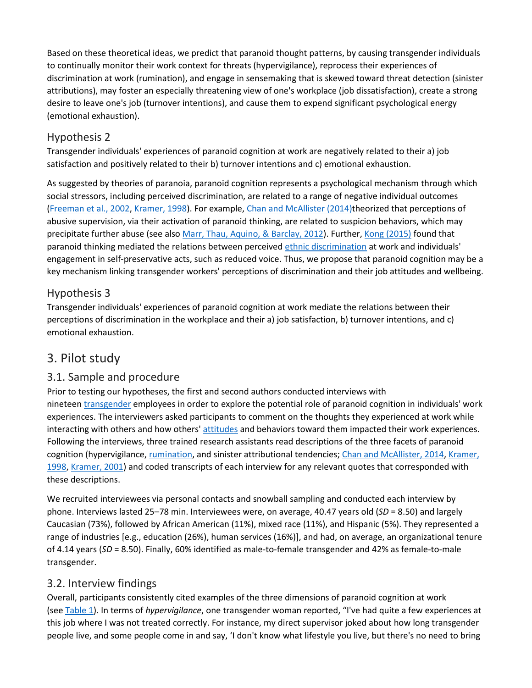Based on these theoretical ideas, we predict that paranoid thought patterns, by causing transgender individuals to continually monitor their work context for threats (hypervigilance), reprocess their experiences of discrimination at work (rumination), and engage in sensemaking that is skewed toward threat detection (sinister attributions), may foster an especially threatening view of one's workplace (job dissatisfaction), create a strong desire to leave one's job (turnover intentions), and cause them to expend significant psychological energy (emotional exhaustion).

#### Hypothesis 2

Transgender individuals' experiences of paranoid cognition at work are negatively related to their a) job satisfaction and positively related to their b) turnover intentions and c) emotional exhaustion.

As suggested by theories of paranoia, paranoid cognition represents a psychological mechanism through which social stressors, including perceived discrimination, are related to a range of negative individual outcomes [\(Freeman et al., 2002,](https://www.sciencedirect.com/science/article/pii/S0001879117300684?via%3Dihub#bb0155) [Kramer, 1998\)](https://www.sciencedirect.com/science/article/pii/S0001879117300684?via%3Dihub#bb0235). For example, [Chan and McAllister \(2014\)t](https://www.sciencedirect.com/science/article/pii/S0001879117300684?via%3Dihub#bb0090)heorized that perceptions of abusive supervision, via their activation of paranoid thinking, are related to suspicion behaviors, which may precipitate further abuse (see also [Marr, Thau, Aquino, & Barclay, 2012\)](https://www.sciencedirect.com/science/article/pii/S0001879117300684?via%3Dihub#bb0280). Further, [Kong \(2015\)](https://www.sciencedirect.com/science/article/pii/S0001879117300684?via%3Dihub#bb0230) found that paranoid thinking mediated the relations between perceived [ethnic discrimination](https://www.sciencedirect.com/topics/psychology/ethnic-discrimination) at work and individuals' engagement in self-preservative acts, such as reduced voice. Thus, we propose that paranoid cognition may be a key mechanism linking transgender workers' perceptions of discrimination and their job attitudes and wellbeing.

#### Hypothesis 3

Transgender individuals' experiences of paranoid cognition at work mediate the relations between their perceptions of discrimination in the workplace and their a) job satisfaction, b) turnover intentions, and c) emotional exhaustion.

### 3. Pilot study

#### 3.1. Sample and procedure

Prior to testing our hypotheses, the first and second authors conducted interviews with nineteen [transgender](https://www.sciencedirect.com/topics/psychology/transgender) employees in order to explore the potential role of paranoid cognition in individuals' work experiences. The interviewers asked participants to comment on the thoughts they experienced at work while interacting with others and how others' [attitudes](https://www.sciencedirect.com/topics/psychology/attitude) and behaviors toward them impacted their work experiences. Following the interviews, three trained research assistants read descriptions of the three facets of paranoid cognition (hypervigilance, [rumination,](https://www.sciencedirect.com/topics/psychology/rumination) and sinister attributional tendencies; [Chan and McAllister, 2014,](https://www.sciencedirect.com/science/article/pii/S0001879117300684?via%3Dihub#bb0090) [Kramer,](https://www.sciencedirect.com/science/article/pii/S0001879117300684?via%3Dihub#bb0235)  [1998,](https://www.sciencedirect.com/science/article/pii/S0001879117300684?via%3Dihub#bb0235) [Kramer, 2001\)](https://www.sciencedirect.com/science/article/pii/S0001879117300684?via%3Dihub#bb0240) and coded transcripts of each interview for any relevant quotes that corresponded with these descriptions.

We recruited interviewees via personal contacts and snowball sampling and conducted each interview by phone. Interviews lasted 25–78 min. Interviewees were, on average, 40.47 years old (*SD* = 8.50) and largely Caucasian (73%), followed by African American (11%), mixed race (11%), and Hispanic (5%). They represented a range of industries [e.g., education (26%), human services (16%)], and had, on average, an organizational tenure of 4.14 years (*SD* = 8.50). Finally, 60% identified as male-to-female transgender and 42% as female-to-male transgender.

#### 3.2. Interview findings

Overall, participants consistently cited examples of the three dimensions of paranoid cognition at work (see [Table 1\)](https://www.sciencedirect.com/science/article/pii/S0001879117300684?via%3Dihub#t0005). In terms of *hypervigilance*, one transgender woman reported, "I've had quite a few experiences at this job where I was not treated correctly. For instance, my direct supervisor joked about how long transgender people live, and some people come in and say, 'I don't know what lifestyle you live, but there's no need to bring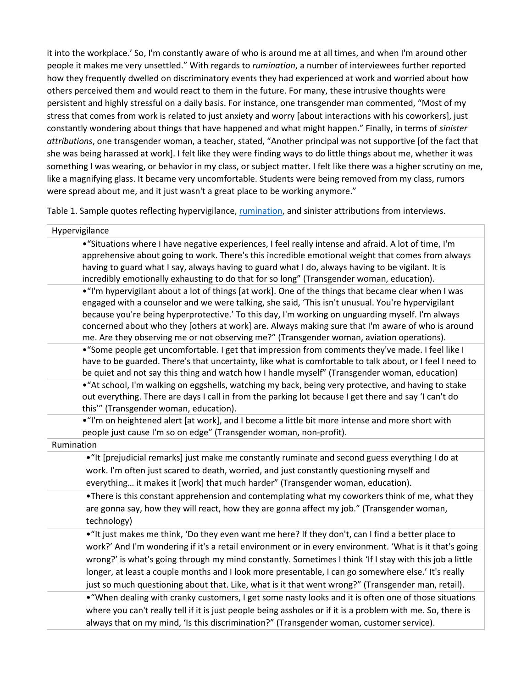it into the workplace.' So, I'm constantly aware of who is around me at all times, and when I'm around other people it makes me very unsettled." With regards to *rumination*, a number of interviewees further reported how they frequently dwelled on discriminatory events they had experienced at work and worried about how others perceived them and would react to them in the future. For many, these intrusive thoughts were persistent and highly stressful on a daily basis. For instance, one transgender man commented, "Most of my stress that comes from work is related to just anxiety and worry [about interactions with his coworkers], just constantly wondering about things that have happened and what might happen." Finally, in terms of *sinister attributions*, one transgender woman, a teacher, stated, "Another principal was not supportive [of the fact that she was being harassed at work]. I felt like they were finding ways to do little things about me, whether it was something I was wearing, or behavior in my class, or subject matter. I felt like there was a higher scrutiny on me, like a magnifying glass. It became very uncomfortable. Students were being removed from my class, rumors were spread about me, and it just wasn't a great place to be working anymore."

Table 1. Sample quotes reflecting hypervigilance, [rumination,](https://www.sciencedirect.com/topics/psychology/rumination) and sinister attributions from interviews.

| Hypervigilance                                                                                                                                                                                                                                                                                                                                                                                                                                                                                                                        |
|---------------------------------------------------------------------------------------------------------------------------------------------------------------------------------------------------------------------------------------------------------------------------------------------------------------------------------------------------------------------------------------------------------------------------------------------------------------------------------------------------------------------------------------|
| • "Situations where I have negative experiences, I feel really intense and afraid. A lot of time, I'm<br>apprehensive about going to work. There's this incredible emotional weight that comes from always<br>having to guard what I say, always having to guard what I do, always having to be vigilant. It is<br>incredibly emotionally exhausting to do that for so long" (Transgender woman, education).                                                                                                                          |
| . "I'm hypervigilant about a lot of things [at work]. One of the things that became clear when I was<br>engaged with a counselor and we were talking, she said, 'This isn't unusual. You're hypervigilant<br>because you're being hyperprotective.' To this day, I'm working on unguarding myself. I'm always<br>concerned about who they [others at work] are. Always making sure that I'm aware of who is around<br>me. Are they observing me or not observing me?" (Transgender woman, aviation operations).                       |
| • "Some people get uncomfortable. I get that impression from comments they've made. I feel like I<br>have to be guarded. There's that uncertainty, like what is comfortable to talk about, or I feel I need to<br>be quiet and not say this thing and watch how I handle myself" (Transgender woman, education)                                                                                                                                                                                                                       |
| • "At school, I'm walking on eggshells, watching my back, being very protective, and having to stake<br>out everything. There are days I call in from the parking lot because I get there and say 'I can't do<br>this"" (Transgender woman, education).                                                                                                                                                                                                                                                                               |
| • "I'm on heightened alert [at work], and I become a little bit more intense and more short with<br>people just cause I'm so on edge" (Transgender woman, non-profit).                                                                                                                                                                                                                                                                                                                                                                |
| Rumination                                                                                                                                                                                                                                                                                                                                                                                                                                                                                                                            |
| • "It [prejudicial remarks] just make me constantly ruminate and second guess everything I do at<br>work. I'm often just scared to death, worried, and just constantly questioning myself and<br>everything it makes it [work] that much harder" (Transgender woman, education).                                                                                                                                                                                                                                                      |
| •There is this constant apprehension and contemplating what my coworkers think of me, what they<br>are gonna say, how they will react, how they are gonna affect my job." (Transgender woman,<br>technology)                                                                                                                                                                                                                                                                                                                          |
| • "It just makes me think, 'Do they even want me here? If they don't, can I find a better place to<br>work?' And I'm wondering if it's a retail environment or in every environment. 'What is it that's going<br>wrong?' is what's going through my mind constantly. Sometimes I think 'If I stay with this job a little<br>longer, at least a couple months and I look more presentable, I can go somewhere else.' It's really<br>just so much questioning about that. Like, what is it that went wrong?" (Transgender man, retail). |
| • "When dealing with cranky customers, I get some nasty looks and it is often one of those situations<br>where you can't really tell if it is just people being assholes or if it is a problem with me. So, there is<br>always that on my mind, 'Is this discrimination?" (Transgender woman, customer service).                                                                                                                                                                                                                      |
|                                                                                                                                                                                                                                                                                                                                                                                                                                                                                                                                       |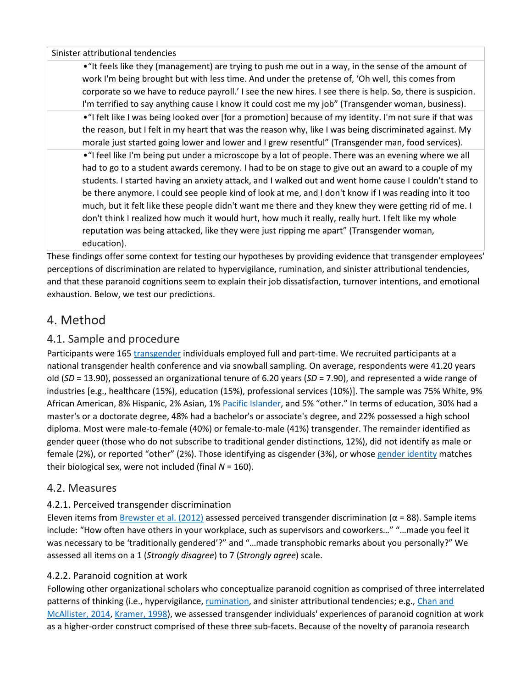Sinister attributional tendencies

•"It feels like they (management) are trying to push me out in a way, in the sense of the amount of work I'm being brought but with less time. And under the pretense of, 'Oh well, this comes from corporate so we have to reduce payroll.' I see the new hires. I see there is help. So, there is suspicion. I'm terrified to say anything cause I know it could cost me my job" (Transgender woman, business).

•"I felt like I was being looked over [for a promotion] because of my identity. I'm not sure if that was the reason, but I felt in my heart that was the reason why, like I was being discriminated against. My morale just started going lower and lower and I grew resentful" (Transgender man, food services).

•"I feel like I'm being put under a microscope by a lot of people. There was an evening where we all had to go to a student awards ceremony. I had to be on stage to give out an award to a couple of my students. I started having an anxiety attack, and I walked out and went home cause I couldn't stand to be there anymore. I could see people kind of look at me, and I don't know if I was reading into it too much, but it felt like these people didn't want me there and they knew they were getting rid of me. I don't think I realized how much it would hurt, how much it really, really hurt. I felt like my whole reputation was being attacked, like they were just ripping me apart" (Transgender woman, education).

These findings offer some context for testing our hypotheses by providing evidence that transgender employees' perceptions of discrimination are related to hypervigilance, rumination, and sinister attributional tendencies, and that these paranoid cognitions seem to explain their job dissatisfaction, turnover intentions, and emotional exhaustion. Below, we test our predictions.

#### 4. Method

#### 4.1. Sample and procedure

Participants were 165 [transgender](https://www.sciencedirect.com/topics/psychology/transgender) individuals employed full and part-time. We recruited participants at a national transgender health conference and via snowball sampling. On average, respondents were 41.20 years old (*SD* = 13.90), possessed an organizational tenure of 6.20 years (*SD* = 7.90), and represented a wide range of industries [e.g., healthcare (15%), education (15%), professional services (10%)]. The sample was 75% White, 9% African American, 8% Hispanic, 2% Asian, 1% [Pacific Islander,](https://www.sciencedirect.com/topics/psychology/pacific-islanders) and 5% "other." In terms of education, 30% had a master's or a doctorate degree, 48% had a bachelor's or associate's degree, and 22% possessed a high school diploma. Most were male-to-female (40%) or female-to-male (41%) transgender. The remainder identified as gender queer (those who do not subscribe to traditional gender distinctions, 12%), did not identify as male or female (2%), or reported "other" (2%). Those identifying as cisgender (3%), or whose [gender identity](https://www.sciencedirect.com/topics/psychology/gender-identity) matches their biological sex, were not included (final *N* = 160).

#### 4.2. Measures

#### 4.2.1. Perceived transgender discrimination

Eleven items from [Brewster et al. \(2012\)](https://www.sciencedirect.com/science/article/pii/S0001879117300684?via%3Dihub#bb0050) assessed perceived transgender discrimination ( $\alpha$  = 88). Sample items include: "How often have others in your workplace, such as supervisors and coworkers…" "…made you feel it was necessary to be 'traditionally gendered'?" and "...made transphobic remarks about you personally?" We assessed all items on a 1 (*Strongly disagree*) to 7 (*Strongly agree*) scale.

#### 4.2.2. Paranoid cognition at work

Following other organizational scholars who conceptualize paranoid cognition as comprised of three interrelated patterns of thinking (i.e., hypervigilance, [rumination,](https://www.sciencedirect.com/topics/psychology/rumination) and sinister attributional tendencies; e.g., Chan and [McAllister, 2014,](https://www.sciencedirect.com/science/article/pii/S0001879117300684?via%3Dihub#bb0090) [Kramer, 1998\)](https://www.sciencedirect.com/science/article/pii/S0001879117300684?via%3Dihub#bb0235), we assessed transgender individuals' experiences of paranoid cognition at work as a higher-order construct comprised of these three sub-facets. Because of the novelty of paranoia research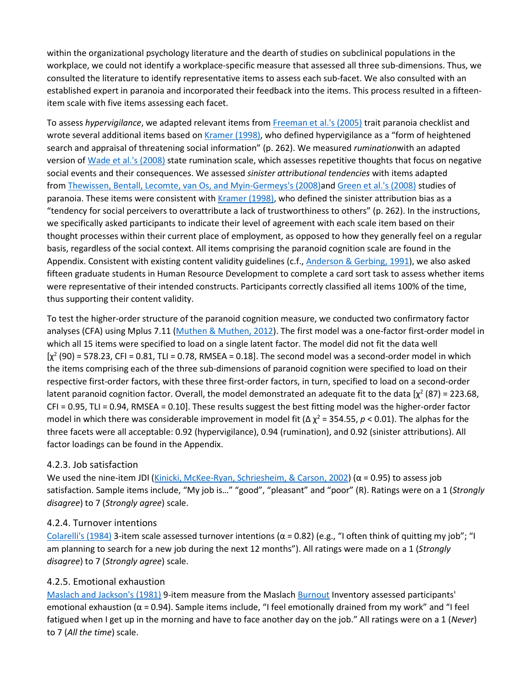within the organizational psychology literature and the dearth of studies on subclinical populations in the workplace, we could not identify a workplace-specific measure that assessed all three sub-dimensions. Thus, we consulted the literature to identify representative items to assess each sub-facet. We also consulted with an established expert in paranoia and incorporated their feedback into the items. This process resulted in a fifteenitem scale with five items assessing each facet.

To assess *hypervigilance*, we adapted relevant items from [Freeman et al.'s \(2005\)](https://www.sciencedirect.com/science/article/pii/S0001879117300684?via%3Dihub#bb0150) trait paranoia checklist and wrote several additional items based on [Kramer \(1998\),](https://www.sciencedirect.com/science/article/pii/S0001879117300684?via%3Dihub#bb0235) who defined hypervigilance as a "form of heightened search and appraisal of threatening social information" (p. 262). We measured *rumination*with an adapted version of [Wade et al.'s \(2008\)](https://www.sciencedirect.com/science/article/pii/S0001879117300684?via%3Dihub#bb0415) state rumination scale, which assesses repetitive thoughts that focus on negative social events and their consequences. We assessed *sinister attributional tendencies* with items adapted from [Thewissen, Bentall, Lecomte, van Os, and Myin-Germeys's \(2008\)a](https://www.sciencedirect.com/science/article/pii/S0001879117300684?via%3Dihub#bb0405)nd [Green et al.'s \(2008\)](https://www.sciencedirect.com/science/article/pii/S0001879117300684?via%3Dihub#bb0170) studies of paranoia. These items were consistent with [Kramer \(1998\),](https://www.sciencedirect.com/science/article/pii/S0001879117300684?via%3Dihub#bb0235) who defined the sinister attribution bias as a "tendency for social perceivers to overattribute a lack of trustworthiness to others" (p. 262). In the instructions, we specifically asked participants to indicate their level of agreement with each scale item based on their thought processes within their current place of employment, as opposed to how they generally feel on a regular basis, regardless of the social context. All items comprising the paranoid cognition scale are found in the Appendix. Consistent with existing content validity guidelines (c.f., [Anderson & Gerbing, 1991\)](https://www.sciencedirect.com/science/article/pii/S0001879117300684?via%3Dihub#bb0015), we also asked fifteen graduate students in Human Resource Development to complete a card sort task to assess whether items were representative of their intended constructs. Participants correctly classified all items 100% of the time, thus supporting their content validity.

To test the higher-order structure of the paranoid cognition measure, we conducted two confirmatory factor analyses (CFA) using Mplus 7.11 [\(Muthen & Muthen, 2012\)](https://www.sciencedirect.com/science/article/pii/S0001879117300684?via%3Dihub#bb0305). The first model was a one-factor first-order model in which all 15 items were specified to load on a single latent factor. The model did not fit the data well  $[\chi^2(90) = 578.23$ , CFI = 0.81, TLI = 0.78, RMSEA = 0.18]. The second model was a second-order model in which the items comprising each of the three sub-dimensions of paranoid cognition were specified to load on their respective first-order factors, with these three first-order factors, in turn, specified to load on a second-order latent paranoid cognition factor. Overall, the model demonstrated an adequate fit to the data [ $\chi^2$  (87) = 223.68, CFI = 0.95, TLI = 0.94, RMSEA = 0.10]. These results suggest the best fitting model was the higher-order factor model in which there was considerable improvement in model fit ( $\Delta \chi^2$  = 354.55, *p* < 0.01). The alphas for the three facets were all acceptable: 0.92 (hypervigilance), 0.94 (rumination), and 0.92 (sinister attributions). All factor loadings can be found in the Appendix.

#### 4.2.3. Job satisfaction

We used the nine-item JDI [\(Kinicki, McKee-Ryan, Schriesheim, & Carson, 2002](https://www.sciencedirect.com/science/article/pii/S0001879117300684?via%3Dihub#bb0225)) ( $\alpha$  = 0.95) to assess job satisfaction. Sample items include, "My job is…" "good", "pleasant" and "poor" (R). Ratings were on a 1 (*Strongly disagree*) to 7 (*Strongly agree*) scale.

#### 4.2.4. Turnover intentions

[Colarelli's \(1984\)](https://www.sciencedirect.com/science/article/pii/S0001879117300684?via%3Dihub#bb0095) 3-item scale assessed turnover intentions ( $\alpha$  = 0.82) (e.g., "I often think of quitting my job"; "I am planning to search for a new job during the next 12 months"). All ratings were made on a 1 (*Strongly disagree*) to 7 (*Strongly agree*) scale.

#### 4.2.5. Emotional exhaustion

[Maslach and Jackson's \(1981\)](https://www.sciencedirect.com/science/article/pii/S0001879117300684?via%3Dihub#bb0290) 9-item measure from the Maslach [Burnout](https://www.sciencedirect.com/topics/psychology/burnout) Inventory assessed participants' emotional exhaustion ( $\alpha$  = 0.94). Sample items include, "I feel emotionally drained from my work" and "I feel fatigued when I get up in the morning and have to face another day on the job." All ratings were on a 1 (*Never*) to 7 (*All the time*) scale.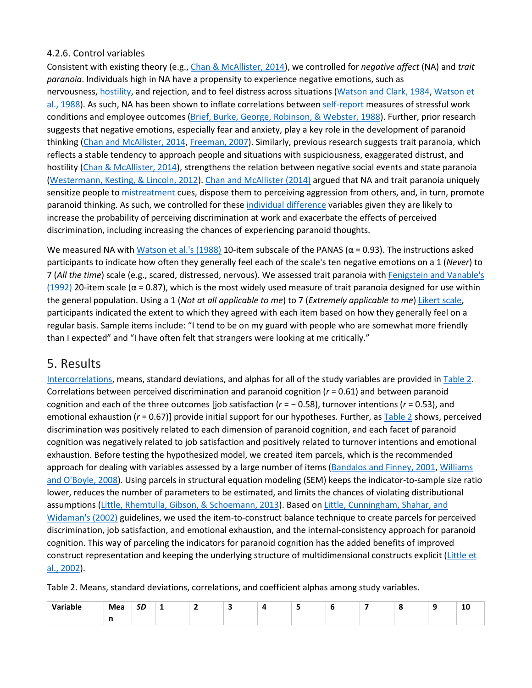#### 4.2.6. Control variables

Consistent with existing theory (e.g., [Chan & McAllister, 2014\)](https://www.sciencedirect.com/science/article/pii/S0001879117300684?via%3Dihub#bb0090), we controlled for *negative affect* (NA) and *trait paranoia*. Individuals high in NA have a propensity to experience negative emotions, such as nervousness, [hostility,](https://www.sciencedirect.com/topics/psychology/hostility) and rejection, and to feel distress across situations [\(Watson and Clark, 1984,](https://www.sciencedirect.com/science/article/pii/S0001879117300684?via%3Dihub#bb0425) [Watson et](https://www.sciencedirect.com/science/article/pii/S0001879117300684?via%3Dihub#bb0430)  [al., 1988\)](https://www.sciencedirect.com/science/article/pii/S0001879117300684?via%3Dihub#bb0430). As such, NA has been shown to inflate correlations between [self-report](https://www.sciencedirect.com/topics/psychology/self-report) measures of stressful work conditions and employee outcomes [\(Brief, Burke, George, Robinson, & Webster, 1988\)](https://www.sciencedirect.com/science/article/pii/S0001879117300684?via%3Dihub#bb0060). Further, prior research suggests that negative emotions, especially fear and anxiety, play a key role in the development of paranoid thinking [\(Chan and McAllister, 2014,](https://www.sciencedirect.com/science/article/pii/S0001879117300684?via%3Dihub#bb0090) [Freeman, 2007\)](https://www.sciencedirect.com/science/article/pii/S0001879117300684?via%3Dihub#bb0140). Similarly, previous research suggests trait paranoia, which reflects a stable tendency to approach people and situations with suspiciousness, exaggerated distrust, and hostility [\(Chan & McAllister, 2014\)](https://www.sciencedirect.com/science/article/pii/S0001879117300684?via%3Dihub#bb0090), strengthens the relation between negative social events and state paranoia [\(Westermann, Kesting, & Lincoln, 2012\)](https://www.sciencedirect.com/science/article/pii/S0001879117300684?via%3Dihub#bb0440). [Chan and McAllister \(2014\)](https://www.sciencedirect.com/science/article/pii/S0001879117300684?via%3Dihub#bb0090) argued that NA and trait paranoia uniquely sensitize people to [mistreatment](https://www.sciencedirect.com/topics/psychology/mistreatment) cues, dispose them to perceiving aggression from others, and, in turn, promote paranoid thinking. As such, we controlled for these [individual difference](https://www.sciencedirect.com/topics/psychology/individual-differences) variables given they are likely to increase the probability of perceiving discrimination at work and exacerbate the effects of perceived discrimination, including increasing the chances of experiencing paranoid thoughts.

We measured NA with [Watson et al.'s \(1988\)](https://www.sciencedirect.com/science/article/pii/S0001879117300684?via%3Dihub#bb0430) 10-item subscale of the PANAS ( $\alpha$  = 0.93). The instructions asked participants to indicate how often they generally feel each of the scale's ten negative emotions on a 1 (*Never*) to 7 (*All the time*) scale (e.g., scared, distressed, nervous). We assessed trait paranoia with [Fenigstein and Vanable's](https://www.sciencedirect.com/science/article/pii/S0001879117300684?via%3Dihub#bb0130)  [\(1992\)](https://www.sciencedirect.com/science/article/pii/S0001879117300684?via%3Dihub#bb0130) 20-item scale ( $\alpha$  = 0.87), which is the most widely used measure of trait paranoia designed for use within the general population. Using a 1 (*Not at all applicable to me*) to 7 (*Extremely applicable to me*) [Likert scale,](https://www.sciencedirect.com/topics/psychology/likert-scale) participants indicated the extent to which they agreed with each item based on how they generally feel on a regular basis. Sample items include: "I tend to be on my guard with people who are somewhat more friendly than I expected" and "I have often felt that strangers were looking at me critically."

#### 5. Results

[Intercorrelations,](https://www.sciencedirect.com/topics/psychology/intercorrelations) means, standard deviations, and alphas for all of the study variables are provided in [Table 2.](https://www.sciencedirect.com/science/article/pii/S0001879117300684?via%3Dihub#t0010) Correlations between perceived discrimination and paranoid cognition (*r* = 0.61) and between paranoid cognition and each of the three outcomes [job satisfaction (*r* = − 0.58), turnover intentions (*r* = 0.53), and emotional exhaustion (*r* = 0.67)] provide initial support for our hypotheses. Further, as [Table 2](https://www.sciencedirect.com/science/article/pii/S0001879117300684?via%3Dihub#t0010) shows, perceived discrimination was positively related to each dimension of paranoid cognition, and each facet of paranoid cognition was negatively related to job satisfaction and positively related to turnover intentions and emotional exhaustion. Before testing the hypothesized model, we created item parcels, which is the recommended approach for dealing with variables assessed by a large number of items [\(Bandalos and Finney, 2001,](https://www.sciencedirect.com/science/article/pii/S0001879117300684?via%3Dihub#bb0020) Williams [and O'Boyle, 2008\)](https://www.sciencedirect.com/science/article/pii/S0001879117300684?via%3Dihub#bb0455). Using parcels in structural equation modeling (SEM) keeps the indicator-to-sample size ratio lower, reduces the number of parameters to be estimated, and limits the chances of violating distributional assumptions [\(Little, Rhemtulla, Gibson, & Schoemann, 2013\)](https://www.sciencedirect.com/science/article/pii/S0001879117300684?via%3Dihub#bb0255). Based on [Little, Cunningham, Shahar, and](https://www.sciencedirect.com/science/article/pii/S0001879117300684?via%3Dihub#bb0250)  [Widaman's \(2002\)](https://www.sciencedirect.com/science/article/pii/S0001879117300684?via%3Dihub#bb0250) guidelines, we used the item-to-construct balance technique to create parcels for perceived discrimination, job satisfaction, and emotional exhaustion, and the internal-consistency approach for paranoid cognition. This way of parceling the indicators for paranoid cognition has the added benefits of improved construct representation and keeping the underlying structure of multidimensional constructs explicit [\(Little et](https://www.sciencedirect.com/science/article/pii/S0001879117300684?via%3Dihub#bb0250)  [al., 2002\)](https://www.sciencedirect.com/science/article/pii/S0001879117300684?via%3Dihub#bb0250).

Table 2. Means, standard deviations, correlations, and coefficient alphas among study variables.

| $\mathcal{L}$<br>ible<br>------- | Mea | cc<br>שכ | - | . .<br>$\overline{\phantom{0}}$ |  |  |  | Tņ |
|----------------------------------|-----|----------|---|---------------------------------|--|--|--|----|
|                                  | . . |          |   |                                 |  |  |  |    |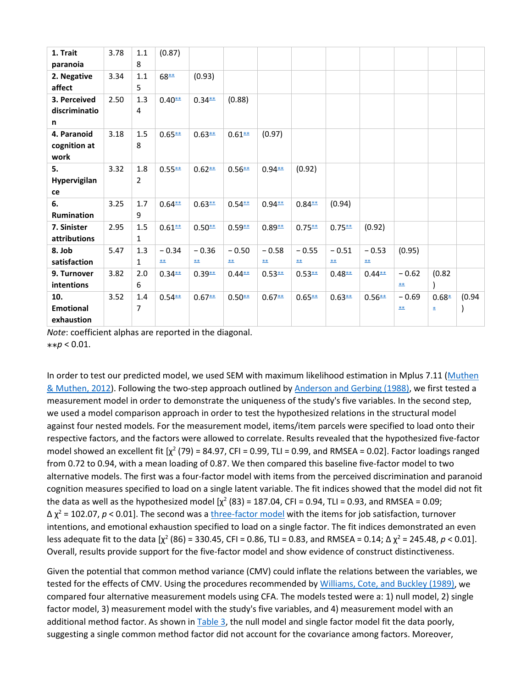| 1. Trait              | 3.78 | 1.1            | (0.87)            |           |                   |           |           |                   |           |                   |              |        |
|-----------------------|------|----------------|-------------------|-----------|-------------------|-----------|-----------|-------------------|-----------|-------------------|--------------|--------|
| paranoia              |      | 8              |                   |           |                   |           |           |                   |           |                   |              |        |
| 2. Negative<br>affect | 3.34 | 1.1<br>5       | $68**$            | (0.93)    |                   |           |           |                   |           |                   |              |        |
|                       |      |                |                   |           |                   |           |           |                   |           |                   |              |        |
| 3. Perceived          | 2.50 | 1.3            | $0.40**$          | $0.34**$  | (0.88)            |           |           |                   |           |                   |              |        |
| discriminatio         |      | $\overline{4}$ |                   |           |                   |           |           |                   |           |                   |              |        |
| n                     |      |                |                   |           |                   |           |           |                   |           |                   |              |        |
| 4. Paranoid           | 3.18 | 1.5            | $0.65***$         | $0.63***$ | $0.61**$          | (0.97)    |           |                   |           |                   |              |        |
| cognition at          |      | 8              |                   |           |                   |           |           |                   |           |                   |              |        |
| work                  |      |                |                   |           |                   |           |           |                   |           |                   |              |        |
| 5.                    | 3.32 | 1.8            | $0.55***$         | $0.62***$ | $0.56***$         | $0.94**$  | (0.92)    |                   |           |                   |              |        |
| Hypervigilan          |      | $\overline{2}$ |                   |           |                   |           |           |                   |           |                   |              |        |
| ce                    |      |                |                   |           |                   |           |           |                   |           |                   |              |        |
| 6.                    | 3.25 | 1.7            | $0.64***$         | $0.63***$ | $0.54**$          | $0.94**$  | $0.84**$  | (0.94)            |           |                   |              |        |
| Rumination            |      | 9              |                   |           |                   |           |           |                   |           |                   |              |        |
| 7. Sinister           | 2.95 | 1.5            | $0.61**$          | $0.50**$  | $0.59**$          | $0.89**$  | $0.75***$ | $0.75***$         | (0.92)    |                   |              |        |
| attributions          |      | $\mathbf{1}$   |                   |           |                   |           |           |                   |           |                   |              |        |
| 8. Job                | 5.47 | 1.3            | $-0.34$           | $-0.36$   | $-0.50$           | $-0.58$   | $-0.55$   | $-0.51$           | $-0.53$   | (0.95)            |              |        |
| satisfaction          |      | 1              | $\underline{***}$ | <b>**</b> | $\underline{***}$ | <b>**</b> | <b>**</b> | $\underline{***}$ | <b>**</b> |                   |              |        |
| 9. Turnover           | 3.82 | 2.0            | $0.34**$          | $0.39**$  | $0.44**$          | $0.53***$ | $0.53***$ | $0.48***$         | $0.44***$ | $-0.62$           | (0.82)       |        |
| intentions            |      | 6              |                   |           |                   |           |           |                   |           | $\underline{***}$ |              |        |
| 10.                   | 3.52 | 1.4            | $0.54**$          | $0.67***$ | $0.50**$          | $0.67**$  | $0.65***$ | $0.63***$         | $0.56***$ | $-0.69$           | $0.68*$      | (0.94) |
| <b>Emotional</b>      |      | 7              |                   |           |                   |           |           |                   |           | $\underline{***}$ | $\pmb{\ast}$ |        |
| exhaustion            |      |                |                   |           |                   |           |           |                   |           |                   |              |        |

*Note*: coefficient alphas are reported in the diagonal.  $**p < 0.01$ .

In order to test our predicted model, we used SEM with maximum likelihood estimation in Mplus 7.11 [\(Muthen](https://www.sciencedirect.com/science/article/pii/S0001879117300684?via%3Dihub#bb0305)  [& Muthen, 2012\)](https://www.sciencedirect.com/science/article/pii/S0001879117300684?via%3Dihub#bb0305). Following the two-step approach outlined by [Anderson and Gerbing \(1988\),](https://www.sciencedirect.com/science/article/pii/S0001879117300684?via%3Dihub#bb0010) we first tested a measurement model in order to demonstrate the uniqueness of the study's five variables. In the second step, we used a model comparison approach in order to test the hypothesized relations in the structural model against four nested models. For the measurement model, items/item parcels were specified to load onto their respective factors, and the factors were allowed to correlate. Results revealed that the hypothesized five-factor model showed an excellent fit  $[\chi^2 (79) = 84.97$ , CFI = 0.99, TLI = 0.99, and RMSEA = 0.02]. Factor loadings ranged from 0.72 to 0.94, with a mean loading of 0.87. We then compared this baseline five-factor model to two alternative models. The first was a four-factor model with items from the perceived discrimination and paranoid cognition measures specified to load on a single latent variable. The fit indices showed that the model did not fit the data as well as the hypothesized model  $[\chi^2 (83) = 187.04$ , CFI = 0.94, TLI = 0.93, and RMSEA = 0.09; ∆ χ<sup>2</sup> = 102.07, *p* < 0.01]. The second was a [three-factor model](https://www.sciencedirect.com/topics/psychology/three-factor-model) with the items for job satisfaction, turnover intentions, and emotional exhaustion specified to load on a single factor. The fit indices demonstrated an even less adequate fit to the data  $[\chi^2 (86) = 330.45$ , CFI = 0.86, TLI = 0.83, and RMSEA = 0.14;  $\Delta \chi^2 = 245.48$ ,  $p < 0.01$ ]. Overall, results provide support for the five-factor model and show evidence of construct distinctiveness.

Given the potential that common method variance (CMV) could inflate the relations between the variables, we tested for the effects of CMV. Using the procedures recommended by [Williams, Cote, and Buckley \(1989\),](https://www.sciencedirect.com/science/article/pii/S0001879117300684?via%3Dihub#bb0450) we compared four alternative measurement models using CFA. The models tested were a: 1) null model, 2) single factor model, 3) measurement model with the study's five variables, and 4) measurement model with an additional method factor. As shown in [Table 3,](https://www.sciencedirect.com/science/article/pii/S0001879117300684?via%3Dihub#t0015) the null model and single factor model fit the data poorly, suggesting a single common method factor did not account for the covariance among factors. Moreover,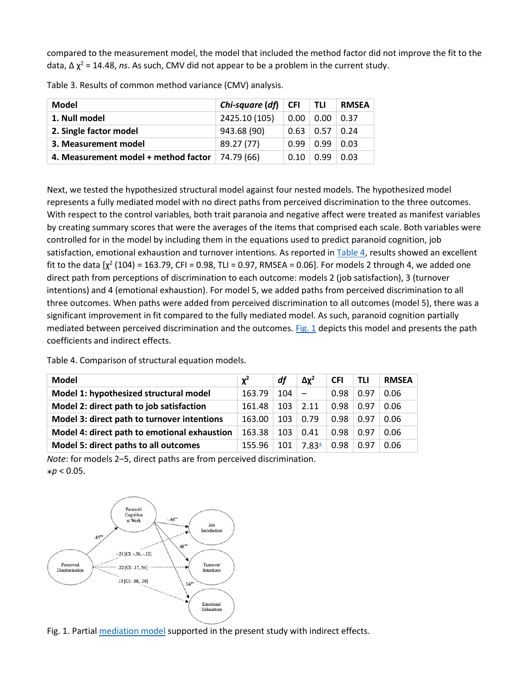compared to the measurement model, the model that included the method factor did not improve the fit to the data, ∆ χ<sup>2</sup> = 14.48, *ns*. As such, CMV did not appear to be a problem in the current study.

| <b>Model</b>                         | Chi-square (df) | <b>CFI</b> | <b>TLI</b> | RMSEA |
|--------------------------------------|-----------------|------------|------------|-------|
| 1. Null model                        | 2425.10 (105)   | 0.00       | 0.00       | 0.37  |
| 2. Single factor model               | 943.68 (90)     | 0.63       | 0.57       | 0.24  |
| 3. Measurement model                 | 89.27 (77)      | 0.99       | 0.99       | 0.03  |
| 4. Measurement model + method factor | 74.79 (66)      | 0.10       | በ 99       | 0.03  |

Table 3. Results of common method variance (CMV) analysis.

Next, we tested the hypothesized structural model against four nested models. The hypothesized model represents a fully mediated model with no direct paths from perceived discrimination to the three outcomes. With respect to the control variables, both trait paranoia and negative affect were treated as manifest variables by creating summary scores that were the averages of the items that comprised each scale. Both variables were controlled for in the model by including them in the equations used to predict paranoid cognition, job satisfaction, emotional exhaustion and turnover intentions. As reported in [Table 4,](https://www.sciencedirect.com/science/article/pii/S0001879117300684?via%3Dihub#t0020) results showed an excellent fit to the data  $[\chi^2 (104) = 163.79$ , CFI = 0.98, TLI = 0.97, RMSEA = 0.06]. For models 2 through 4, we added one direct path from perceptions of discrimination to each outcome: models 2 (job satisfaction), 3 (turnover intentions) and 4 (emotional exhaustion). For model 5, we added paths from perceived discrimination to all three outcomes. When paths were added from perceived discrimination to all outcomes (model 5), there was a significant improvement in fit compared to the fully mediated model. As such, paranoid cognition partially mediated between perceived discrimination and the outcomes. [Fig. 1](https://www.sciencedirect.com/science/article/pii/S0001879117300684?via%3Dihub#f0005) depicts this model and presents the path coefficients and indirect effects.

Table 4. Comparison of structural equation models.

| Model                                        | $\chi^2$ | df  | $\Delta x^2$ | <b>CFI</b> | <b>TLI</b> | <b>RMSEA</b> |
|----------------------------------------------|----------|-----|--------------|------------|------------|--------------|
| Model 1: hypothesized structural model       | 163.79   | 104 |              | 0.98       | 0.97       | 0.06         |
| Model 2: direct path to job satisfaction     | 161.48   | 103 | 2.11         | 0.98       | 0.97       | 0.06         |
| Model 3: direct path to turnover intentions  | 163.00   | 103 | 0.79         | 0.98       | 0.97       | 0.06         |
| Model 4: direct path to emotional exhaustion | 163.38   | 103 | 0.41         | 0.98       | 0.97       | 0.06         |
| Model 5: direct paths to all outcomes        | 155.96   | 101 | $7.83*$      | 0.98       | 0.97       | 0.06         |

*Note*: for models 2–5, direct paths are from perceived discrimination.  $*p < 0.05$ .



Fig. 1. Partial [mediation model](https://www.sciencedirect.com/topics/psychology/mediation-model) supported in the present study with indirect effects.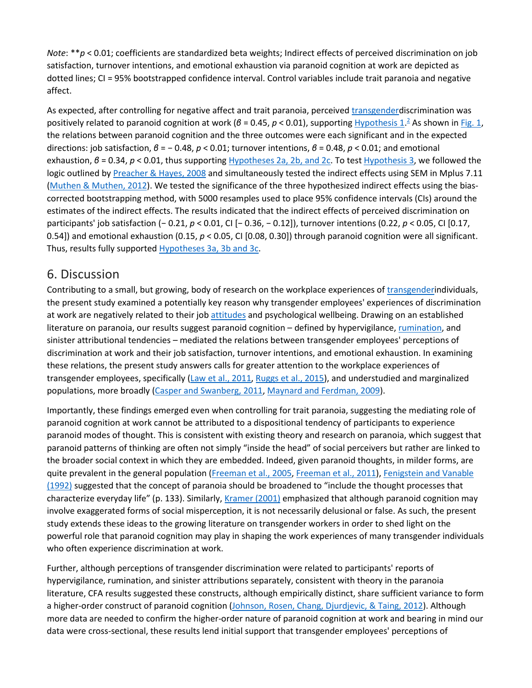*Note*: \*\**p* < 0.01; coefficients are standardized beta weights; Indirect effects of perceived discrimination on job satisfaction, turnover intentions, and emotional exhaustion via paranoid cognition at work are depicted as dotted lines; CI = 95% bootstrapped confidence interval. Control variables include trait paranoia and negative affect.

As expected, after controlling for negative affect and trait paranoia, perceived [transgenderd](https://www.sciencedirect.com/topics/psychology/transgender)iscrimination was positively related to paranoid cognition at work (*β* = 0[.](https://www.sciencedirect.com/science/article/pii/S0001879117300684?via%3Dihub#fn0010)45, *p* < 0.01), supporting [Hypothesis 1](https://www.sciencedirect.com/science/article/pii/S0001879117300684?via%3Dihub#en0005).<sup>2</sup> As shown in [Fig. 1,](https://www.sciencedirect.com/science/article/pii/S0001879117300684?via%3Dihub#f0005) the relations between paranoid cognition and the three outcomes were each significant and in the expected directions: job satisfaction, *β* = − 0.48, *p* < 0.01; turnover intentions, *β* = 0.48, *p* < 0.01; and emotional exhaustion, *β* = 0.34, *p* < 0.01, thus supporting [Hypotheses 2a, 2b, and 2c.](https://www.sciencedirect.com/science/article/pii/S0001879117300684?via%3Dihub#en0010) To test [Hypothesis 3,](https://www.sciencedirect.com/science/article/pii/S0001879117300684?via%3Dihub#en0015) we followed the logic outlined by [Preacher & Hayes, 2008](https://www.sciencedirect.com/science/article/pii/S0001879117300684?via%3Dihub#bb0330) and simultaneously tested the indirect effects using SEM in Mplus 7.11 [\(Muthen & Muthen, 2012\)](https://www.sciencedirect.com/science/article/pii/S0001879117300684?via%3Dihub#bb0305). We tested the significance of the three hypothesized indirect effects using the biascorrected bootstrapping method, with 5000 resamples used to place 95% confidence intervals (CIs) around the estimates of the indirect effects. The results indicated that the indirect effects of perceived discrimination on participants' job satisfaction (− 0.21, *p* < 0.01, CI [− 0.36, − 0.12]), turnover intentions (0.22, *p* < 0.05, CI [0.17, 0.54]) and emotional exhaustion (0.15, *p* < 0.05, CI [0.08, 0.30]) through paranoid cognition were all significant. Thus, results fully supported [Hypotheses 3a, 3b and 3c.](https://www.sciencedirect.com/science/article/pii/S0001879117300684?via%3Dihub#en0015)

#### 6. Discussion

Contributing to a small, but growing, body of research on the workplace experiences of [transgenderi](https://www.sciencedirect.com/topics/psychology/transgender)ndividuals, the present study examined a potentially key reason why transgender employees' experiences of discrimination at work are negatively related to their job [attitudes](https://www.sciencedirect.com/topics/psychology/attitude) and psychological wellbeing. Drawing on an established literature on paranoia, our results suggest paranoid cognition – defined by hypervigilance, [rumination,](https://www.sciencedirect.com/topics/psychology/rumination) and sinister attributional tendencies – mediated the relations between transgender employees' perceptions of discrimination at work and their job satisfaction, turnover intentions, and emotional exhaustion. In examining these relations, the present study answers calls for greater attention to the workplace experiences of transgender employees, specifically [\(Law et al., 2011,](https://www.sciencedirect.com/science/article/pii/S0001879117300684?via%3Dihub#bb0245) [Ruggs et al., 2015\)](https://www.sciencedirect.com/science/article/pii/S0001879117300684?via%3Dihub#bb0350), and understudied and marginalized populations, more broadly [\(Casper and Swanberg, 2011,](https://www.sciencedirect.com/science/article/pii/S0001879117300684?via%3Dihub#bb0080) [Maynard and Ferdman, 2009\)](https://www.sciencedirect.com/science/article/pii/S0001879117300684?via%3Dihub#bb0295).

Importantly, these findings emerged even when controlling for trait paranoia, suggesting the mediating role of paranoid cognition at work cannot be attributed to a dispositional tendency of participants to experience paranoid modes of thought. This is consistent with existing theory and research on paranoia, which suggest that paranoid patterns of thinking are often not simply "inside the head" of social perceivers but rather are linked to the broader social context in which they are embedded. Indeed, given paranoid thoughts, in milder forms, are quite prevalent in the general population [\(Freeman et al., 2005,](https://www.sciencedirect.com/science/article/pii/S0001879117300684?via%3Dihub#bb0150) [Freeman et al., 2011\)](https://www.sciencedirect.com/science/article/pii/S0001879117300684?via%3Dihub#bb0160), Fenigstein and Vanable [\(1992\)](https://www.sciencedirect.com/science/article/pii/S0001879117300684?via%3Dihub#bb0130) suggested that the concept of paranoia should be broadened to "include the thought processes that characterize everyday life" (p. 133). Similarly, *[Kramer \(2001\)](https://www.sciencedirect.com/science/article/pii/S0001879117300684?via%3Dihub#bb0240)* emphasized that although paranoid cognition may involve exaggerated forms of social misperception, it is not necessarily delusional or false. As such, the present study extends these ideas to the growing literature on transgender workers in order to shed light on the powerful role that paranoid cognition may play in shaping the work experiences of many transgender individuals who often experience discrimination at work.

Further, although perceptions of transgender discrimination were related to participants' reports of hypervigilance, rumination, and sinister attributions separately, consistent with theory in the paranoia literature, CFA results suggested these constructs, although empirically distinct, share sufficient variance to form a higher-order construct of paranoid cognition [\(Johnson, Rosen, Chang, Djurdjevic, & Taing, 2012\)](https://www.sciencedirect.com/science/article/pii/S0001879117300684?via%3Dihub#bb0205). Although more data are needed to confirm the higher-order nature of paranoid cognition at work and bearing in mind our data were cross-sectional, these results lend initial support that transgender employees' perceptions of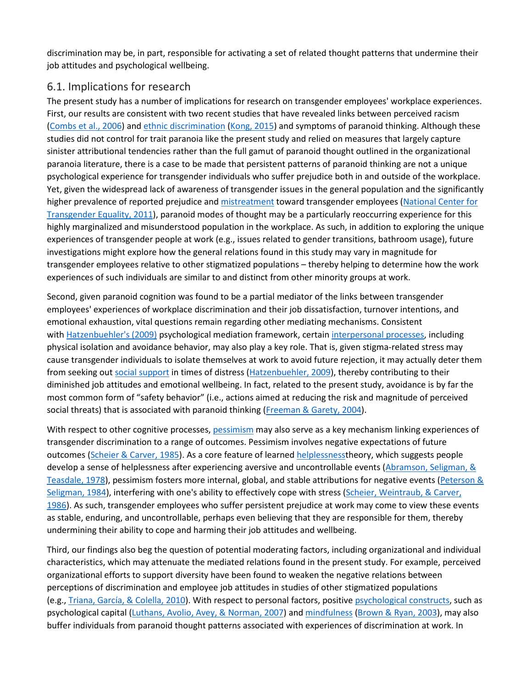discrimination may be, in part, responsible for activating a set of related thought patterns that undermine their job attitudes and psychological wellbeing.

#### 6.1. Implications for research

The present study has a number of implications for research on transgender employees' workplace experiences. First, our results are consistent with two recent studies that have revealed links between perceived racism [\(Combs et al., 2006\)](https://www.sciencedirect.com/science/article/pii/S0001879117300684?via%3Dihub#bb0100) and [ethnic discrimination](https://www.sciencedirect.com/topics/psychology/ethnic-discrimination) [\(Kong, 2015\)](https://www.sciencedirect.com/science/article/pii/S0001879117300684?via%3Dihub#bb0230) and symptoms of paranoid thinking. Although these studies did not control for trait paranoia like the present study and relied on measures that largely capture sinister attributional tendencies rather than the full gamut of paranoid thought outlined in the organizational paranoia literature, there is a case to be made that persistent patterns of paranoid thinking are not a unique psychological experience for transgender individuals who suffer prejudice both in and outside of the workplace. Yet, given the widespread lack of awareness of transgender issues in the general population and the significantly higher prevalence of reported prejudice and [mistreatment](https://www.sciencedirect.com/topics/psychology/mistreatment) toward transgender employees [\(National Center for](https://www.sciencedirect.com/science/article/pii/S0001879117300684?via%3Dihub#bb0310)  [Transgender Equality, 2011\)](https://www.sciencedirect.com/science/article/pii/S0001879117300684?via%3Dihub#bb0310), paranoid modes of thought may be a particularly reoccurring experience for this highly marginalized and misunderstood population in the workplace. As such, in addition to exploring the unique experiences of transgender people at work (e.g., issues related to gender transitions, bathroom usage), future investigations might explore how the general relations found in this study may vary in magnitude for transgender employees relative to other stigmatized populations – thereby helping to determine how the work experiences of such individuals are similar to and distinct from other minority groups at work.

Second, given paranoid cognition was found to be a partial mediator of the links between transgender employees' experiences of workplace discrimination and their job dissatisfaction, turnover intentions, and emotional exhaustion, vital questions remain regarding other mediating mechanisms. Consistent with [Hatzenbuehler's \(2009\)](https://www.sciencedirect.com/science/article/pii/S0001879117300684?via%3Dihub#bb0185) psychological mediation framework, certain [interpersonal processes,](https://www.sciencedirect.com/topics/psychology/interpersonal-processes) including physical isolation and avoidance behavior, may also play a key role. That is, given stigma-related stress may cause transgender individuals to isolate themselves at work to avoid future rejection, it may actually deter them from seeking out [social support](https://www.sciencedirect.com/topics/psychology/social-support) in times of distress [\(Hatzenbuehler, 2009\)](https://www.sciencedirect.com/science/article/pii/S0001879117300684?via%3Dihub#bb0185), thereby contributing to their diminished job attitudes and emotional wellbeing. In fact, related to the present study, avoidance is by far the most common form of "safety behavior" (i.e., actions aimed at reducing the risk and magnitude of perceived social threats) that is associated with paranoid thinking [\(Freeman & Garety, 2004\)](https://www.sciencedirect.com/science/article/pii/S0001879117300684?via%3Dihub#bb0145).

With respect to other cognitive processes, [pessimism](https://www.sciencedirect.com/topics/psychology/pessimism) may also serve as a key mechanism linking experiences of transgender discrimination to a range of outcomes. Pessimism involves negative expectations of future outcomes [\(Scheier & Carver, 1985\)](https://www.sciencedirect.com/science/article/pii/S0001879117300684?via%3Dihub#bb0365). As a core feature of learned [helplessnesst](https://www.sciencedirect.com/topics/psychology/helplessness)heory, which suggests people develop a sense of helplessness after experiencing aversive and uncontrollable events (Abramson, Seligman, & [Teasdale, 1978\)](https://www.sciencedirect.com/science/article/pii/S0001879117300684?via%3Dihub#bb0005), pessimism fosters more internal, global, and stable attributions for negative events [\(Peterson &](https://www.sciencedirect.com/science/article/pii/S0001879117300684?via%3Dihub#bb0320)  [Seligman, 1984\)](https://www.sciencedirect.com/science/article/pii/S0001879117300684?via%3Dihub#bb0320), interfering with one's ability to effectively cope with stress [\(Scheier, Weintraub, & Carver,](https://www.sciencedirect.com/science/article/pii/S0001879117300684?via%3Dihub#bb0370)  [1986\)](https://www.sciencedirect.com/science/article/pii/S0001879117300684?via%3Dihub#bb0370). As such, transgender employees who suffer persistent prejudice at work may come to view these events as stable, enduring, and uncontrollable, perhaps even believing that they are responsible for them, thereby undermining their ability to cope and harming their job attitudes and wellbeing.

Third, our findings also beg the question of potential moderating factors, including organizational and individual characteristics, which may attenuate the mediated relations found in the present study. For example, perceived organizational efforts to support diversity have been found to weaken the negative relations between perceptions of discrimination and employee job attitudes in studies of other stigmatized populations (e.g., [Triana, García, & Colella, 2010\)](https://www.sciencedirect.com/science/article/pii/S0001879117300684?via%3Dihub#bb0410). With respect to personal factors, positive [psychological constructs,](https://www.sciencedirect.com/topics/psychology/psychological-construct) such as psychological capital [\(Luthans, Avolio, Avey, & Norman, 2007\)](https://www.sciencedirect.com/science/article/pii/S0001879117300684?via%3Dihub#bb0260) and [mindfulness](https://www.sciencedirect.com/topics/psychology/mindfulness) [\(Brown & Ryan, 2003\)](https://www.sciencedirect.com/science/article/pii/S0001879117300684?via%3Dihub#bb0065), may also buffer individuals from paranoid thought patterns associated with experiences of discrimination at work. In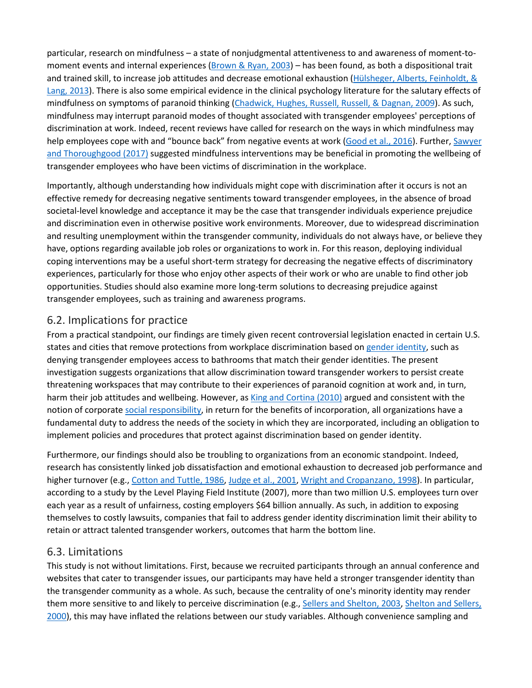particular, research on mindfulness – a state of nonjudgmental attentiveness to and awareness of moment-tomoment events and internal experiences [\(Brown & Ryan, 2003\)](https://www.sciencedirect.com/science/article/pii/S0001879117300684?via%3Dihub#bb0065) – has been found, as both a dispositional trait and trained skill, to increase job attitudes and decrease emotional exhaustion [\(Hülsheger, Alberts, Feinholdt, &](https://www.sciencedirect.com/science/article/pii/S0001879117300684?via%3Dihub#bb0190)  [Lang, 2013\)](https://www.sciencedirect.com/science/article/pii/S0001879117300684?via%3Dihub#bb0190). There is also some empirical evidence in the clinical psychology literature for the salutary effects of mindfulness on symptoms of paranoid thinking [\(Chadwick, Hughes, Russell, Russell, & Dagnan, 2009\)](https://www.sciencedirect.com/science/article/pii/S0001879117300684?via%3Dihub#bb0085). As such, mindfulness may interrupt paranoid modes of thought associated with transgender employees' perceptions of discrimination at work. Indeed, recent reviews have called for research on the ways in which mindfulness may help employees cope with and "bounce back" from negative events at work [\(Good et al., 2016\)](https://www.sciencedirect.com/science/article/pii/S0001879117300684?via%3Dihub#bb0165). Further, Sawyer [and Thoroughgood \(2017\)](https://www.sciencedirect.com/science/article/pii/S0001879117300684?via%3Dihub#bb0355) suggested mindfulness interventions may be beneficial in promoting the wellbeing of transgender employees who have been victims of discrimination in the workplace.

Importantly, although understanding how individuals might cope with discrimination after it occurs is not an effective remedy for decreasing negative sentiments toward transgender employees, in the absence of broad societal-level knowledge and acceptance it may be the case that transgender individuals experience prejudice and discrimination even in otherwise positive work environments. Moreover, due to widespread discrimination and resulting unemployment within the transgender community, individuals do not always have, or believe they have, options regarding available job roles or organizations to work in. For this reason, deploying individual coping interventions may be a useful short-term strategy for decreasing the negative effects of discriminatory experiences, particularly for those who enjoy other aspects of their work or who are unable to find other job opportunities. Studies should also examine more long-term solutions to decreasing prejudice against transgender employees, such as training and awareness programs.

#### 6.2. Implications for practice

From a practical standpoint, our findings are timely given recent controversial legislation enacted in certain U.S. states and cities that remove protections from workplace discrimination based on [gender identity,](https://www.sciencedirect.com/topics/psychology/gender-identity) such as denying transgender employees access to bathrooms that match their gender identities. The present investigation suggests organizations that allow discrimination toward transgender workers to persist create threatening workspaces that may contribute to their experiences of paranoid cognition at work and, in turn, harm their job attitudes and wellbeing. However, as [King and Cortina \(2010\)](https://www.sciencedirect.com/science/article/pii/S0001879117300684?via%3Dihub#bb0220) argued and consistent with the notion of corporate [social responsibility,](https://www.sciencedirect.com/topics/psychology/social-responsibility) in return for the benefits of incorporation, all organizations have a fundamental duty to address the needs of the society in which they are incorporated, including an obligation to implement policies and procedures that protect against discrimination based on gender identity.

Furthermore, our findings should also be troubling to organizations from an economic standpoint. Indeed, research has consistently linked job dissatisfaction and emotional exhaustion to decreased job performance and higher turnover (e.g., [Cotton and Tuttle, 1986,](https://www.sciencedirect.com/science/article/pii/S0001879117300684?via%3Dihub#bb0115) [Judge et al., 2001,](https://www.sciencedirect.com/science/article/pii/S0001879117300684?via%3Dihub#bb0210) [Wright and Cropanzano, 1998\)](https://www.sciencedirect.com/science/article/pii/S0001879117300684?via%3Dihub#bb0460). In particular, according to a study by the Level Playing Field Institute (2007), more than two million U.S. employees turn over each year as a result of unfairness, costing employers \$64 billion annually. As such, in addition to exposing themselves to costly lawsuits, companies that fail to address gender identity discrimination limit their ability to retain or attract talented transgender workers, outcomes that harm the bottom line.

#### 6.3. Limitations

This study is not without limitations. First, because we recruited participants through an annual conference and websites that cater to transgender issues, our participants may have held a stronger transgender identity than the transgender community as a whole. As such, because the centrality of one's minority identity may render them more sensitive to and likely to perceive discrimination (e.g., [Sellers and Shelton, 2003,](https://www.sciencedirect.com/science/article/pii/S0001879117300684?via%3Dihub#bb0390) [Shelton and Sellers,](https://www.sciencedirect.com/science/article/pii/S0001879117300684?via%3Dihub#bb2025)  [2000\)](https://www.sciencedirect.com/science/article/pii/S0001879117300684?via%3Dihub#bb2025), this may have inflated the relations between our study variables. Although convenience sampling and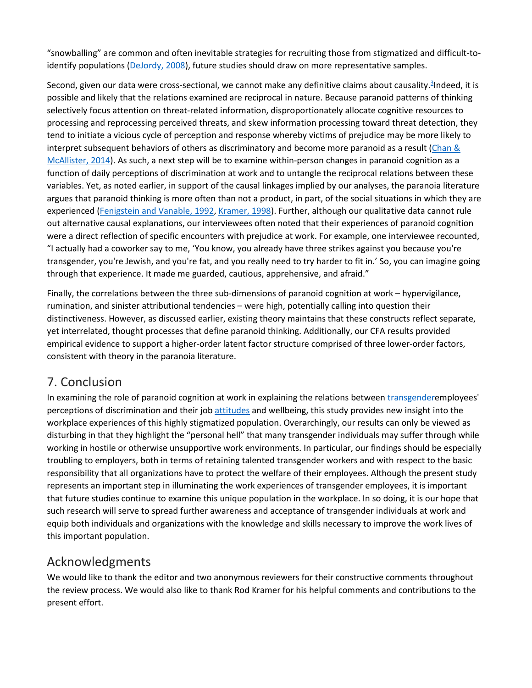"snowballing" are common and often inevitable strategies for recruiting those from stigmatized and difficult-toidentify populations [\(DeJordy, 2008\)](https://www.sciencedirect.com/science/article/pii/S0001879117300684?via%3Dihub#bb0120), future studies should draw on more representative samples.

Second, given our data were cross-sectional, we cannot make any definitive claims about causality.<sup>3</sup>Indeed, it is possible and likely that the relations examined are reciprocal in nature. Because paranoid patterns of thinking selectively focus attention on threat-related information, disproportionately allocate cognitive resources to processing and reprocessing perceived threats, and skew information processing toward threat detection, they tend to initiate a vicious cycle of perception and response whereby victims of prejudice may be more likely to interpret subsequent behaviors of others as discriminatory and become more paranoid as a result (Chan  $\&$ [McAllister, 2014\)](https://www.sciencedirect.com/science/article/pii/S0001879117300684?via%3Dihub#bb0090). As such, a next step will be to examine within-person changes in paranoid cognition as a function of daily perceptions of discrimination at work and to untangle the reciprocal relations between these variables. Yet, as noted earlier, in support of the causal linkages implied by our analyses, the paranoia literature argues that paranoid thinking is more often than not a product, in part, of the social situations in which they are experienced [\(Fenigstein and Vanable, 1992,](https://www.sciencedirect.com/science/article/pii/S0001879117300684?via%3Dihub#bb0130) [Kramer, 1998\)](https://www.sciencedirect.com/science/article/pii/S0001879117300684?via%3Dihub#bb0235). Further, although our qualitative data cannot rule out alternative causal explanations, our interviewees often noted that their experiences of paranoid cognition were a direct reflection of specific encounters with prejudice at work. For example, one interviewee recounted, "I actually had a coworker say to me, 'You know, you already have three strikes against you because you're transgender, you're Jewish, and you're fat, and you really need to try harder to fit in.' So, you can imagine going through that experience. It made me guarded, cautious, apprehensive, and afraid."

Finally, the correlations between the three sub-dimensions of paranoid cognition at work – hypervigilance, rumination, and sinister attributional tendencies – were high, potentially calling into question their distinctiveness. However, as discussed earlier, existing theory maintains that these constructs reflect separate, yet interrelated, thought processes that define paranoid thinking. Additionally, our CFA results provided empirical evidence to support a higher-order latent factor structure comprised of three lower-order factors, consistent with theory in the paranoia literature.

#### 7. Conclusion

In examining the role of paranoid cognition at work in explaining the relations between [transgendere](https://www.sciencedirect.com/topics/psychology/transgender)mployees' perceptions of discrimination and their job [attitudes](https://www.sciencedirect.com/topics/psychology/attitude) and wellbeing, this study provides new insight into the workplace experiences of this highly stigmatized population. Overarchingly, our results can only be viewed as disturbing in that they highlight the "personal hell" that many transgender individuals may suffer through while working in hostile or otherwise unsupportive work environments. In particular, our findings should be especially troubling to employers, both in terms of retaining talented transgender workers and with respect to the basic responsibility that all organizations have to protect the welfare of their employees. Although the present study represents an important step in illuminating the work experiences of transgender employees, it is important that future studies continue to examine this unique population in the workplace. In so doing, it is our hope that such research will serve to spread further awareness and acceptance of transgender individuals at work and equip both individuals and organizations with the knowledge and skills necessary to improve the work lives of this important population.

## Acknowledgments

We would like to thank the editor and two anonymous reviewers for their constructive comments throughout the review process. We would also like to thank Rod Kramer for his helpful comments and contributions to the present effort.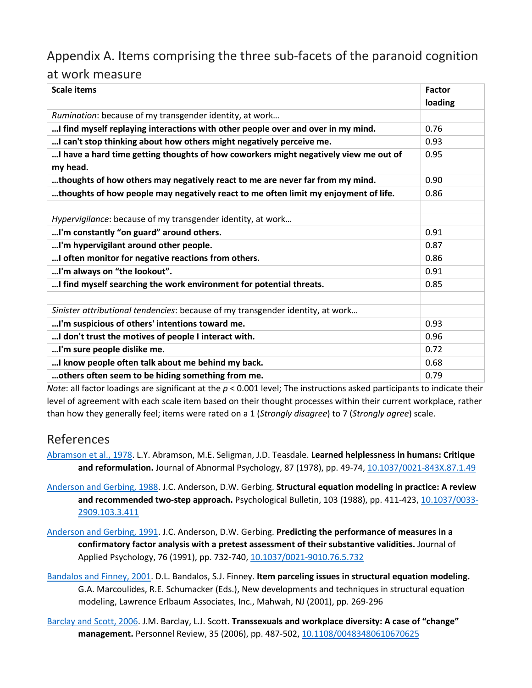## Appendix A. Items comprising the three sub-facets of the paranoid cognition

#### at work measure

| <b>Scale items</b>                                                                   | <b>Factor</b><br>loading |
|--------------------------------------------------------------------------------------|--------------------------|
| Rumination: because of my transgender identity, at work                              |                          |
| I find myself replaying interactions with other people over and over in my mind.     | 0.76                     |
| I can't stop thinking about how others might negatively perceive me.                 | 0.93                     |
| I have a hard time getting thoughts of how coworkers might negatively view me out of | 0.95                     |
| my head.                                                                             |                          |
| thoughts of how others may negatively react to me are never far from my mind.        | 0.90                     |
| thoughts of how people may negatively react to me often limit my enjoyment of life.  | 0.86                     |
|                                                                                      |                          |
| Hypervigilance: because of my transgender identity, at work                          |                          |
| I'm constantly "on guard" around others.                                             | 0.91                     |
| I'm hypervigilant around other people.                                               | 0.87                     |
| I often monitor for negative reactions from others.                                  | 0.86                     |
| I'm always on "the lookout".                                                         | 0.91                     |
| I find myself searching the work environment for potential threats.                  | 0.85                     |
|                                                                                      |                          |
| Sinister attributional tendencies: because of my transgender identity, at work       |                          |
| I'm suspicious of others' intentions toward me.                                      | 0.93                     |
| I don't trust the motives of people I interact with.                                 | 0.96                     |
| I'm sure people dislike me.                                                          | 0.72                     |
| I know people often talk about me behind my back.                                    | 0.68                     |
| others often seem to be hiding something from me.                                    | 0.79                     |

*Note*: all factor loadings are significant at the *p* < 0.001 level; The instructions asked participants to indicate their level of agreement with each scale item based on their thought processes within their current workplace, rather than how they generally feel; items were rated on a 1 (*Strongly disagree*) to 7 (*Strongly agree*) scale.

## References

[Abramson et al., 1978.](https://www.sciencedirect.com/science/article/pii/S0001879117300684?via%3Dihub#bbb0005) L.Y. Abramson, M.E. Seligman, J.D. Teasdale. **Learned helplessness in humans: Critique**  and reformulation. Journal of Abnormal Psychology, 87 (1978), pp. 49-74, [10.1037/0021-843X.87.1.49](https://doi.org/10.1037/0021-843X.87.1.49)

- [Anderson and Gerbing, 1988.](https://www.sciencedirect.com/science/article/pii/S0001879117300684?via%3Dihub#bbb0010) J.C. Anderson, D.W. Gerbing. **Structural equation modeling in practice: A review and recommended two-step approach.** Psychological Bulletin, 103 (1988), pp. 411-423, [10.1037/0033-](https://doi.org/10.1037/0033-2909.103.3.411) [2909.103.3.411](https://doi.org/10.1037/0033-2909.103.3.411)
- [Anderson and Gerbing, 1991.](https://www.sciencedirect.com/science/article/pii/S0001879117300684?via%3Dihub#bbb0015) J.C. Anderson, D.W. Gerbing. **Predicting the performance of measures in a confirmatory factor analysis with a pretest assessment of their substantive validities.** Journal of Applied Psychology, 76 (1991), pp. 732-740, [10.1037/0021-9010.76.5.732](https://doi.org/10.1037/0021-9010.76.5.732)

[Bandalos and Finney, 2001.](https://www.sciencedirect.com/science/article/pii/S0001879117300684?via%3Dihub#bbb0020) D.L. Bandalos, S.J. Finney. **Item parceling issues in structural equation modeling.**  G.A. Marcoulides, R.E. Schumacker (Eds.), New developments and techniques in structural equation modeling, Lawrence Erlbaum Associates, Inc., Mahwah, NJ (2001), pp. 269-296

[Barclay and Scott, 2006.](https://www.sciencedirect.com/science/article/pii/S0001879117300684?via%3Dihub#bbb0025) J.M. Barclay, L.J. Scott. **Transsexuals and workplace diversity: A case of "change" management.** Personnel Review, 35 (2006), pp. 487-502, [10.1108/00483480610670625](https://doi.org/10.1108/00483480610670625)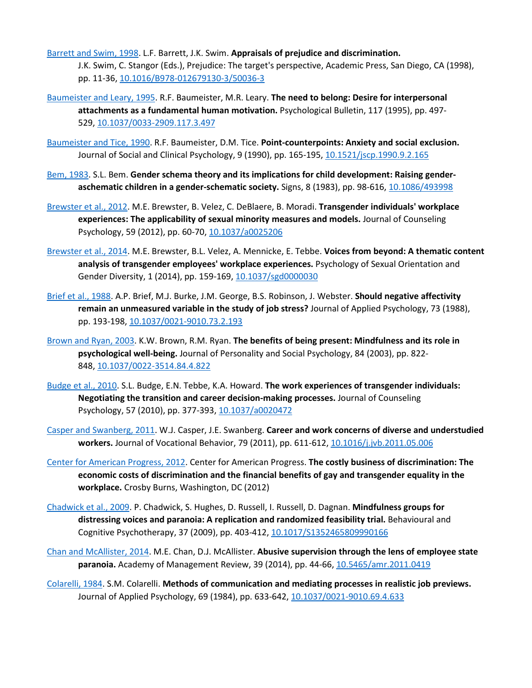- [Barrett and Swim, 1998.](https://www.sciencedirect.com/science/article/pii/S0001879117300684?via%3Dihub#bbb0030) L.F. Barrett, J.K. Swim. **Appraisals of prejudice and discrimination.**  J.K. Swim, C. Stangor (Eds.), Prejudice: The target's perspective, Academic Press, San Diego, CA (1998), pp. 11-36, [10.1016/B978-012679130-3/50036-3](https://doi.org/10.1016/B978-012679130-3/50036-3)
- [Baumeister and Leary, 1995.](https://www.sciencedirect.com/science/article/pii/S0001879117300684?via%3Dihub#bbb0035) R.F. Baumeister, M.R. Leary. **The need to belong: Desire for interpersonal attachments as a fundamental human motivation.** Psychological Bulletin, 117 (1995), pp. 497- 529, [10.1037/0033-2909.117.3.497](https://doi.org/10.1037/0033-2909.117.3.497)
- [Baumeister and Tice, 1990.](https://www.sciencedirect.com/science/article/pii/S0001879117300684?via%3Dihub#bbb0040) R.F. Baumeister, D.M. Tice. **Point-counterpoints: Anxiety and social exclusion.**  Journal of Social and Clinical Psychology, 9 (1990), pp. 165-195, [10.1521/jscp.1990.9.2.165](https://doi.org/10.1521/jscp.1990.9.2.165)
- [Bem, 1983.](https://www.sciencedirect.com/science/article/pii/S0001879117300684?via%3Dihub#bbb0045) S.L. Bem. **Gender schema theory and its implications for child development: Raising genderaschematic children in a gender-schematic society.** Signs, 8 (1983), pp. 98-616, [10.1086/493998](https://doi.org/10.1086/493998)
- [Brewster et al., 2012.](https://www.sciencedirect.com/science/article/pii/S0001879117300684?via%3Dihub#bbb0050) M.E. Brewster, B. Velez, C. DeBlaere, B. Moradi. **Transgender individuals' workplace experiences: The applicability of sexual minority measures and models.** Journal of Counseling Psychology, 59 (2012), pp. 60-70, [10.1037/a0025206](https://doi.org/10.1037/a0025206)
- [Brewster et al., 2014.](https://www.sciencedirect.com/science/article/pii/S0001879117300684?via%3Dihub#bbb0055) M.E. Brewster, B.L. Velez, A. Mennicke, E. Tebbe. **Voices from beyond: A thematic content analysis of transgender employees' workplace experiences.** Psychology of Sexual Orientation and Gender Diversity, 1 (2014), pp. 159-169, [10.1037/sgd0000030](https://doi.org/10.1037/sgd0000030)
- [Brief et al., 1988.](https://www.sciencedirect.com/science/article/pii/S0001879117300684?via%3Dihub#bbb0060) A.P. Brief, M.J. Burke, J.M. George, B.S. Robinson, J. Webster. **Should negative affectivity remain an unmeasured variable in the study of job stress?** Journal of Applied Psychology, 73 (1988), pp. 193-198, [10.1037/0021-9010.73.2.193](https://doi.org/10.1037/0021-9010.73.2.193)
- [Brown and Ryan, 2003.](https://www.sciencedirect.com/science/article/pii/S0001879117300684?via%3Dihub#bbb0065) K.W. Brown, R.M. Ryan. **The benefits of being present: Mindfulness and its role in psychological well-being.** Journal of Personality and Social Psychology, 84 (2003), pp. 822- 848, [10.1037/0022-3514.84.4.822](https://doi.org/10.1037/0022-3514.84.4.822)
- [Budge et al., 2010.](https://www.sciencedirect.com/science/article/pii/S0001879117300684?via%3Dihub#bbb0070) S.L. Budge, E.N. Tebbe, K.A. Howard. **The work experiences of transgender individuals: Negotiating the transition and career decision-making processes.** Journal of Counseling Psychology, 57 (2010), pp. 377-393, [10.1037/a0020472](https://doi.org/10.1037/a0020472)
- [Casper and Swanberg, 2011.](https://www.sciencedirect.com/science/article/pii/S0001879117300684?via%3Dihub#bbb0080) W.J. Casper, J.E. Swanberg. **Career and work concerns of diverse and understudied workers.** Journal of Vocational Behavior, 79 (2011), pp. 611-612, [10.1016/j.jvb.2011.05.006](https://doi.org/10.1016/j.jvb.2011.05.006)
- [Center for American Progress, 2012.](https://www.sciencedirect.com/science/article/pii/S0001879117300684?via%3Dihub#bbb2015) Center for American Progress. **The costly business of discrimination: The economic costs of discrimination and the financial benefits of gay and transgender equality in the workplace.** Crosby Burns, Washington, DC (2012)
- [Chadwick et al., 2009.](https://www.sciencedirect.com/science/article/pii/S0001879117300684?via%3Dihub#bbb0085) P. Chadwick, S. Hughes, D. Russell, I. Russell, D. Dagnan. **Mindfulness groups for distressing voices and paranoia: A replication and randomized feasibility trial.** Behavioural and Cognitive Psychotherapy, 37 (2009), pp. 403-412, [10.1017/S1352465809990166](https://doi.org/10.1017/S1352465809990166)
- [Chan and McAllister, 2014.](https://www.sciencedirect.com/science/article/pii/S0001879117300684?via%3Dihub#bbb0090) M.E. Chan, D.J. McAllister. **Abusive supervision through the lens of employee state paranoia.** Academy of Management Review, 39 (2014), pp. 44-66, [10.5465/amr.2011.0419](https://doi.org/10.5465/amr.2011.0419)
- [Colarelli, 1984.](https://www.sciencedirect.com/science/article/pii/S0001879117300684?via%3Dihub#bbb0095) S.M. Colarelli. **Methods of communication and mediating processes in realistic job previews.**  Journal of Applied Psychology, 69 (1984), pp. 633-642, [10.1037/0021-9010.69.4.633](https://doi.org/10.1037/0021-9010.69.4.633)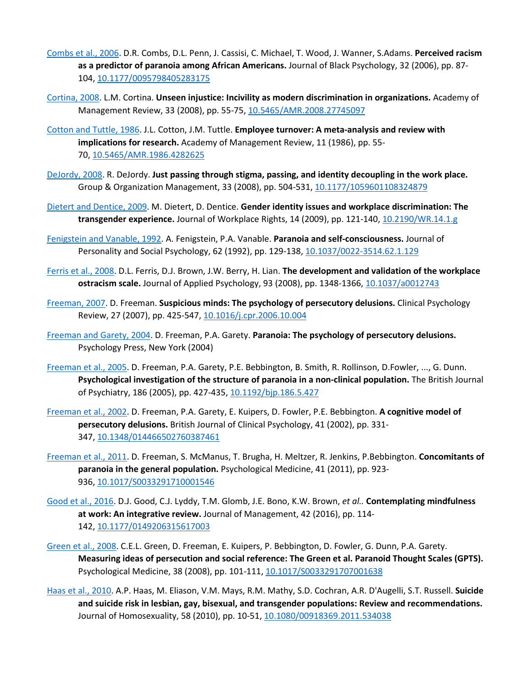- [Combs et al., 2006.](https://www.sciencedirect.com/science/article/pii/S0001879117300684?via%3Dihub#bbb0100) D.R. Combs, D.L. Penn, J. Cassisi, C. Michael, T. Wood, J. Wanner, S.Adams. **Perceived racism as a predictor of paranoia among African Americans.** Journal of Black Psychology, 32 (2006), pp. 87- 104, [10.1177/0095798405283175](https://doi.org/10.1177/0095798405283175)
- [Cortina, 2008.](https://www.sciencedirect.com/science/article/pii/S0001879117300684?via%3Dihub#bbb0110) L.M. Cortina. **Unseen injustice: Incivility as modern discrimination in organizations.** Academy of Management Review, 33 (2008), pp. 55-75, [10.5465/AMR.2008.27745097](https://doi.org/10.5465/AMR.2008.27745097)
- [Cotton and Tuttle, 1986.](https://www.sciencedirect.com/science/article/pii/S0001879117300684?via%3Dihub#bbb0115) J.L. Cotton, J.M. Tuttle. **Employee turnover: A meta-analysis and review with implications for research.** Academy of Management Review, 11 (1986), pp. 55- 70, [10.5465/AMR.1986.4282625](https://doi.org/10.5465/AMR.1986.4282625)
- [DeJordy, 2008.](https://www.sciencedirect.com/science/article/pii/S0001879117300684?via%3Dihub#bbb0120) R. DeJordy. **Just passing through stigma, passing, and identity decoupling in the work place.**  Group & Organization Management, 33 (2008), pp. 504-531, [10.1177/1059601108324879](https://doi.org/10.1177/1059601108324879)
- [Dietert and Dentice, 2009.](https://www.sciencedirect.com/science/article/pii/S0001879117300684?via%3Dihub#bbb0125) M. Dietert, D. Dentice. **Gender identity issues and workplace discrimination: The transgender experience.** Journal of Workplace Rights, 14 (2009), pp. 121-140, [10.2190/WR.14.1.g](https://doi.org/10.2190/WR.14.1.g)
- [Fenigstein and Vanable, 1992.](https://www.sciencedirect.com/science/article/pii/S0001879117300684?via%3Dihub#bbb0130) A. Fenigstein, P.A. Vanable. **Paranoia and self-consciousness.** Journal of Personality and Social Psychology, 62 (1992), pp. 129-138, [10.1037/0022-3514.62.1.129](https://doi.org/10.1037/0022-3514.62.1.129)
- [Ferris et al., 2008.](https://www.sciencedirect.com/science/article/pii/S0001879117300684?via%3Dihub#bbb0135) D.L. Ferris, D.J. Brown, J.W. Berry, H. Lian. **The development and validation of the workplace ostracism scale.** Journal of Applied Psychology, 93 (2008), pp. 1348-1366, [10.1037/a0012743](https://doi.org/10.1037/a0012743)
- [Freeman, 2007.](https://www.sciencedirect.com/science/article/pii/S0001879117300684?via%3Dihub#bbb0140) D. Freeman. **Suspicious minds: The psychology of persecutory delusions.** Clinical Psychology Review, 27 (2007), pp. 425-547, [10.1016/j.cpr.2006.10.004](https://doi.org/10.1016/j.cpr.2006.10.004)
- [Freeman and Garety, 2004.](https://www.sciencedirect.com/science/article/pii/S0001879117300684?via%3Dihub#bbb0145) D. Freeman, P.A. Garety. **Paranoia: The psychology of persecutory delusions.**  Psychology Press, New York (2004)
- [Freeman et al., 2005.](https://www.sciencedirect.com/science/article/pii/S0001879117300684?via%3Dihub#bbb0150) D. Freeman, P.A. Garety, P.E. Bebbington, B. Smith, R. Rollinson, D.Fowler, ..., G. Dunn. **Psychological investigation of the structure of paranoia in a non-clinical population.** The British Journal of Psychiatry, 186 (2005), pp. 427-435, [10.1192/bjp.186.5.427](https://doi.org/10.1192/bjp.186.5.427)
- [Freeman et al., 2002.](https://www.sciencedirect.com/science/article/pii/S0001879117300684?via%3Dihub#bbb0155) D. Freeman, P.A. Garety, E. Kuipers, D. Fowler, P.E. Bebbington. **A cognitive model of persecutory delusions.** British Journal of Clinical Psychology, 41 (2002), pp. 331- 347, [10.1348/014466502760387461](https://doi.org/10.1348/014466502760387461)
- [Freeman et al., 2011.](https://www.sciencedirect.com/science/article/pii/S0001879117300684?via%3Dihub#bbb0160) D. Freeman, S. McManus, T. Brugha, H. Meltzer, R. Jenkins, P.Bebbington. **Concomitants of paranoia in the general population.** Psychological Medicine, 41 (2011), pp. 923- 936, [10.1017/S0033291710001546](https://doi.org/10.1017/S0033291710001546)
- [Good et al., 2016.](https://www.sciencedirect.com/science/article/pii/S0001879117300684?via%3Dihub#bbb0165) D.J. Good, C.J. Lyddy, T.M. Glomb, J.E. Bono, K.W. Brown, *et al..* **Contemplating mindfulness at work: An integrative review.** Journal of Management, 42 (2016), pp. 114- 142, [10.1177/0149206315617003](https://doi.org/10.1177/0149206315617003)
- [Green et al., 2008.](https://www.sciencedirect.com/science/article/pii/S0001879117300684?via%3Dihub#bbb0170) C.E.L. Green, D. Freeman, E. Kuipers, P. Bebbington, D. Fowler, G. Dunn, P.A. Garety. **Measuring ideas of persecution and social reference: The Green et al. Paranoid Thought Scales (GPTS).**  Psychological Medicine, 38 (2008), pp. 101-111, [10.1017/S0033291707001638](https://doi.org/10.1017/S0033291707001638)
- [Haas et al., 2010.](https://www.sciencedirect.com/science/article/pii/S0001879117300684?via%3Dihub#bbb0175) A.P. Haas, M. Eliason, V.M. Mays, R.M. Mathy, S.D. Cochran, A.R. D'Augelli, S.T. Russell. **Suicide and suicide risk in lesbian, gay, bisexual, and transgender populations: Review and recommendations.**  Journal of Homosexuality, 58 (2010), pp. 10-51, [10.1080/00918369.2011.534038](https://doi.org/10.1080/00918369.2011.534038)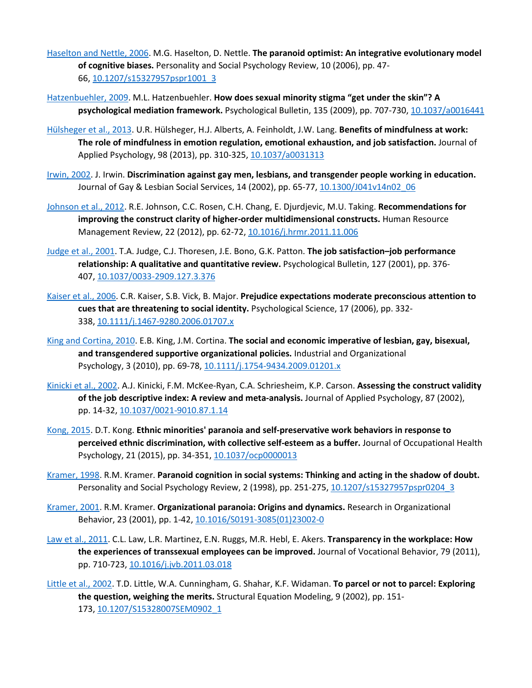- [Haselton and Nettle, 2006.](https://www.sciencedirect.com/science/article/pii/S0001879117300684?via%3Dihub#bbb0180) M.G. Haselton, D. Nettle. **The paranoid optimist: An integrative evolutionary model of cognitive biases.** Personality and Social Psychology Review, 10 (2006), pp. 47- 66, [10.1207/s15327957pspr1001\\_3](https://doi.org/10.1207/s15327957pspr1001_3)
- [Hatzenbuehler, 2009.](https://www.sciencedirect.com/science/article/pii/S0001879117300684?via%3Dihub#bbb0185) M.L. Hatzenbuehler. **How does sexual minority stigma "get under the skin"? A psychological mediation framework.** Psychological Bulletin, 135 (2009), pp. 707-730, [10.1037/a0016441](https://doi.org/10.1037/a0016441)
- [Hülsheger et al., 2013.](https://www.sciencedirect.com/science/article/pii/S0001879117300684?via%3Dihub#bbb0190) U.R. Hülsheger, H.J. Alberts, A. Feinholdt, J.W. Lang. **Benefits of mindfulness at work: The role of mindfulness in emotion regulation, emotional exhaustion, and job satisfaction.** Journal of Applied Psychology, 98 (2013), pp. 310-325, [10.1037/a0031313](https://doi.org/10.1037/a0031313)
- [Irwin, 2002.](https://www.sciencedirect.com/science/article/pii/S0001879117300684?via%3Dihub#bbb0200) J. Irwin. **Discrimination against gay men, lesbians, and transgender people working in education.**  Journal of Gay & Lesbian Social Services, 14 (2002), pp. 65-77, [10.1300/J041v14n02\\_06](https://doi.org/10.1300/J041v14n02_06)
- [Johnson et al., 2012.](https://www.sciencedirect.com/science/article/pii/S0001879117300684?via%3Dihub#bbb0205) R.E. Johnson, C.C. Rosen, C.H. Chang, E. Djurdjevic, M.U. Taking. **Recommendations for improving the construct clarity of higher-order multidimensional constructs.** Human Resource Management Review, 22 (2012), pp. 62-72, [10.1016/j.hrmr.2011.11.006](https://doi.org/10.1016/j.hrmr.2011.11.006)
- [Judge et al., 2001.](https://www.sciencedirect.com/science/article/pii/S0001879117300684?via%3Dihub#bbb0210) T.A. Judge, C.J. Thoresen, J.E. Bono, G.K. Patton. **The job satisfaction–job performance relationship: A qualitative and quantitative review.** Psychological Bulletin, 127 (2001), pp. 376- 407, [10.1037/0033-2909.127.3.376](https://doi.org/10.1037/0033-2909.127.3.376)
- [Kaiser et al., 2006.](https://www.sciencedirect.com/science/article/pii/S0001879117300684?via%3Dihub#bbb0215) C.R. Kaiser, S.B. Vick, B. Major. **Prejudice expectations moderate preconscious attention to cues that are threatening to social identity.** Psychological Science, 17 (2006), pp. 332- 338, [10.1111/j.1467-9280.2006.01707.x](https://doi.org/10.1111/j.1467-9280.2006.01707.x)
- [King and Cortina, 2010.](https://www.sciencedirect.com/science/article/pii/S0001879117300684?via%3Dihub#bbb0220) E.B. King, J.M. Cortina. **The social and economic imperative of lesbian, gay, bisexual, and transgendered supportive organizational policies.** Industrial and Organizational Psychology, 3 (2010), pp. 69-78, [10.1111/j.1754-9434.2009.01201.x](https://doi.org/10.1111/j.1754-9434.2009.01201.x)
- [Kinicki et al., 2002.](https://www.sciencedirect.com/science/article/pii/S0001879117300684?via%3Dihub#bbb0225) A.J. Kinicki, F.M. McKee-Ryan, C.A. Schriesheim, K.P. Carson. **Assessing the construct validity of the job descriptive index: A review and meta-analysis.** Journal of Applied Psychology, 87 (2002), pp. 14-32, [10.1037/0021-9010.87.1.14](https://doi.org/10.1037/0021-9010.87.1.14)
- [Kong, 2015.](https://www.sciencedirect.com/science/article/pii/S0001879117300684?via%3Dihub#bbb0230) D.T. Kong. **Ethnic minorities' paranoia and self-preservative work behaviors in response to perceived ethnic discrimination, with collective self-esteem as a buffer.** Journal of Occupational Health Psychology, 21 (2015), pp. 34-351, [10.1037/ocp0000013](https://doi.org/10.1037/ocp0000013)
- [Kramer, 1998.](https://www.sciencedirect.com/science/article/pii/S0001879117300684?via%3Dihub#bbb0235) R.M. Kramer. **Paranoid cognition in social systems: Thinking and acting in the shadow of doubt.**  Personality and Social Psychology Review, 2 (1998), pp. 251-275, [10.1207/s15327957pspr0204\\_3](https://doi.org/10.1207/s15327957pspr0204_3)
- [Kramer, 2001.](https://www.sciencedirect.com/science/article/pii/S0001879117300684?via%3Dihub#bbb0240) R.M. Kramer. **Organizational paranoia: Origins and dynamics.** Research in Organizational Behavior, 23 (2001), pp. 1-42, [10.1016/S0191-3085\(01\)23002-0](https://doi.org/10.1016/S0191-3085(01)23002-0)
- [Law et al., 2011.](https://www.sciencedirect.com/science/article/pii/S0001879117300684?via%3Dihub#bbb0245) C.L. Law, L.R. Martinez, E.N. Ruggs, M.R. Hebl, E. Akers. **Transparency in the workplace: How the experiences of transsexual employees can be improved.** Journal of Vocational Behavior, 79 (2011), pp. 710-723, [10.1016/j.jvb.2011.03.018](https://doi.org/10.1016/j.jvb.2011.03.018)
- [Little et al., 2002.](https://www.sciencedirect.com/science/article/pii/S0001879117300684?via%3Dihub#bbb0250) T.D. Little, W.A. Cunningham, G. Shahar, K.F. Widaman. **To parcel or not to parcel: Exploring the question, weighing the merits.** Structural Equation Modeling, 9 (2002), pp. 151- 173, [10.1207/S15328007SEM0902\\_1](https://doi.org/10.1207/S15328007SEM0902_1)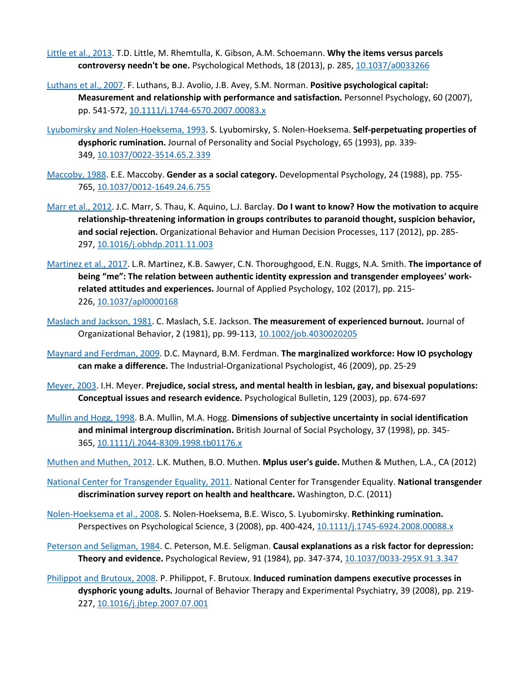- [Little et al., 2013.](https://www.sciencedirect.com/science/article/pii/S0001879117300684?via%3Dihub#bbb0255) T.D. Little, M. Rhemtulla, K. Gibson, A.M. Schoemann. **Why the items versus parcels controversy needn't be one.** Psychological Methods, 18 (2013), p. 285, [10.1037/a0033266](https://doi.org/10.1037/a0033266)
- [Luthans et al., 2007.](https://www.sciencedirect.com/science/article/pii/S0001879117300684?via%3Dihub#bbb0260) F. Luthans, B.J. Avolio, J.B. Avey, S.M. Norman. **Positive psychological capital: Measurement and relationship with performance and satisfaction.** Personnel Psychology, 60 (2007), pp. 541-572, [10.1111/j.1744-6570.2007.00083.x](https://doi.org/10.1111/j.1744-6570.2007.00083.x)
- [Lyubomirsky and Nolen-Hoeksema, 1993.](https://www.sciencedirect.com/science/article/pii/S0001879117300684?via%3Dihub#bbb0265) S. Lyubomirsky, S. Nolen-Hoeksema. **Self-perpetuating properties of dysphoric rumination.** Journal of Personality and Social Psychology, 65 (1993), pp. 339- 349, [10.1037/0022-3514.65.2.339](https://doi.org/10.1037/0022-3514.65.2.339)
- [Maccoby, 1988.](https://www.sciencedirect.com/science/article/pii/S0001879117300684?via%3Dihub#bbb0270) E.E. Maccoby. **Gender as a social category.** Developmental Psychology, 24 (1988), pp. 755- 765, [10.1037/0012-1649.24.6.755](https://doi.org/10.1037/0012-1649.24.6.755)
- [Marr et al., 2012.](https://www.sciencedirect.com/science/article/pii/S0001879117300684?via%3Dihub#bbb0280) J.C. Marr, S. Thau, K. Aquino, L.J. Barclay. **Do I want to know? How the motivation to acquire relationship-threatening information in groups contributes to paranoid thought, suspicion behavior, and social rejection.** Organizational Behavior and Human Decision Processes, 117 (2012), pp. 285- 297, [10.1016/j.obhdp.2011.11.003](https://doi.org/10.1016/j.obhdp.2011.11.003)
- [Martinez et al., 2017.](https://www.sciencedirect.com/science/article/pii/S0001879117300684?via%3Dihub#bbb0285) L.R. Martinez, K.B. Sawyer, C.N. Thoroughgood, E.N. Ruggs, N.A. Smith. **The importance of being "me": The relation between authentic identity expression and transgender employees' workrelated attitudes and experiences.** Journal of Applied Psychology, 102 (2017), pp. 215- 226, [10.1037/apl0000168](https://doi.org/10.1037/apl0000168)
- [Maslach and Jackson, 1981.](https://www.sciencedirect.com/science/article/pii/S0001879117300684?via%3Dihub#bbb0290) C. Maslach, S.E. Jackson. **The measurement of experienced burnout.** Journal of Organizational Behavior, 2 (1981), pp. 99-113, [10.1002/job.4030020205](https://doi.org/10.1002/job.4030020205)
- [Maynard and Ferdman, 2009.](https://www.sciencedirect.com/science/article/pii/S0001879117300684?via%3Dihub#bbb0295) D.C. Maynard, B.M. Ferdman. **The marginalized workforce: How IO psychology can make a difference.** The Industrial-Organizational Psychologist, 46 (2009), pp. 25-29
- [Meyer, 2003.](https://www.sciencedirect.com/science/article/pii/S0001879117300684?via%3Dihub#bbb2020) I.H. Meyer. **Prejudice, social stress, and mental health in lesbian, gay, and bisexual populations: Conceptual issues and research evidence.** Psychological Bulletin, 129 (2003), pp. 674-697
- [Mullin and Hogg, 1998.](https://www.sciencedirect.com/science/article/pii/S0001879117300684?via%3Dihub#bbb0300) B.A. Mullin, M.A. Hogg. **Dimensions of subjective uncertainty in social identification and minimal intergroup discrimination.** British Journal of Social Psychology, 37 (1998), pp. 345- 365, [10.1111/j.2044-8309.1998.tb01176.x](https://doi.org/10.1111/j.2044-8309.1998.tb01176.x)

[Muthen and Muthen, 2012.](https://www.sciencedirect.com/science/article/pii/S0001879117300684?via%3Dihub#bbb0305) L.K. Muthen, B.O. Muthen. **Mplus user's guide.** Muthen & Muthen, L.A., CA (2012)

- [National Center for Transgender Equality, 2011.](https://www.sciencedirect.com/science/article/pii/S0001879117300684?via%3Dihub#bbb0310) National Center for Transgender Equality. **National transgender discrimination survey report on health and healthcare.** Washington, D.C. (2011)
- [Nolen-Hoeksema et al., 2008.](https://www.sciencedirect.com/science/article/pii/S0001879117300684?via%3Dihub#bbb0315) S. Nolen-Hoeksema, B.E. Wisco, S. Lyubomirsky. **Rethinking rumination.**  Perspectives on Psychological Science, 3 (2008), pp. 400-424, [10.1111/j.1745-6924.2008.00088.x](https://doi.org/10.1111/j.1745-6924.2008.00088.x)
- [Peterson and Seligman, 1984.](https://www.sciencedirect.com/science/article/pii/S0001879117300684?via%3Dihub#bbb0320) C. Peterson, M.E. Seligman. **Causal explanations as a risk factor for depression: Theory and evidence.** Psychological Review, 91 (1984), pp. 347-374, [10.1037/0033-295X.91.3.347](https://doi.org/10.1037/0033-295X.91.3.347)
- [Philippot and Brutoux, 2008.](https://www.sciencedirect.com/science/article/pii/S0001879117300684?via%3Dihub#bbb0325) P. Philippot, F. Brutoux. **Induced rumination dampens executive processes in dysphoric young adults.** Journal of Behavior Therapy and Experimental Psychiatry, 39 (2008), pp. 219- 227, [10.1016/j.jbtep.2007.07.001](https://doi.org/10.1016/j.jbtep.2007.07.001)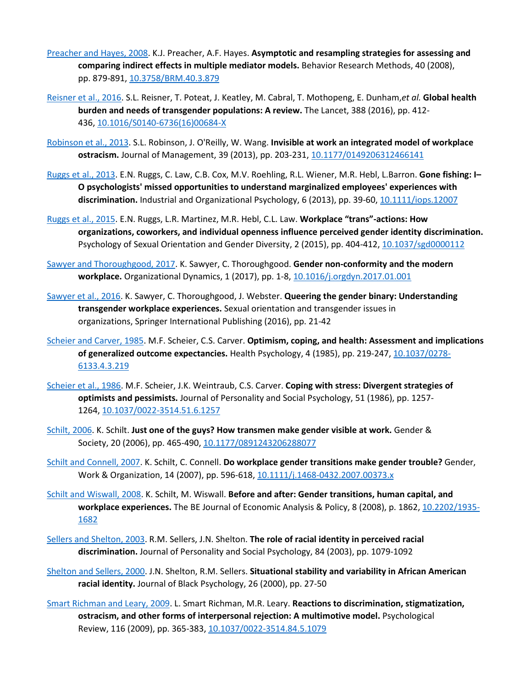- [Preacher and Hayes, 2008.](https://www.sciencedirect.com/science/article/pii/S0001879117300684?via%3Dihub#bbb0330) K.J. Preacher, A.F. Hayes. **Asymptotic and resampling strategies for assessing and comparing indirect effects in multiple mediator models.** Behavior Research Methods, 40 (2008), pp. 879-891, [10.3758/BRM.40.3.879](https://doi.org/10.3758/BRM.40.3.879)
- [Reisner et al., 2016.](https://www.sciencedirect.com/science/article/pii/S0001879117300684?via%3Dihub#bbb0335) S.L. Reisner, T. Poteat, J. Keatley, M. Cabral, T. Mothopeng, E. Dunham,*et al.* **Global health burden and needs of transgender populations: A review.** The Lancet, 388 (2016), pp. 412- 436, [10.1016/S0140-6736\(16\)00684-X](https://doi.org/10.1016/S0140-6736(16)00684-X)
- [Robinson et al., 2013.](https://www.sciencedirect.com/science/article/pii/S0001879117300684?via%3Dihub#bbb0340) S.L. Robinson, J. O'Reilly, W. Wang. **Invisible at work an integrated model of workplace ostracism.** Journal of Management, 39 (2013), pp. 203-231, [10.1177/0149206312466141](https://doi.org/10.1177/0149206312466141)
- [Ruggs et al., 2013.](https://www.sciencedirect.com/science/article/pii/S0001879117300684?via%3Dihub#bbb0345) E.N. Ruggs, C. Law, C.B. Cox, M.V. Roehling, R.L. Wiener, M.R. Hebl, L.Barron. **Gone fishing: I– O psychologists' missed opportunities to understand marginalized employees' experiences with discrimination.** Industrial and Organizational Psychology, 6 (2013), pp. 39-60, [10.1111/iops.12007](https://doi.org/10.1111/iops.12007)
- [Ruggs et al., 2015.](https://www.sciencedirect.com/science/article/pii/S0001879117300684?via%3Dihub#bbb0350) E.N. Ruggs, L.R. Martinez, M.R. Hebl, C.L. Law. **Workplace "trans"-actions: How organizations, coworkers, and individual openness influence perceived gender identity discrimination.**  Psychology of Sexual Orientation and Gender Diversity, 2 (2015), pp. 404-412, [10.1037/sgd0000112](https://doi.org/10.1037/sgd0000112)
- [Sawyer and Thoroughgood, 2017.](https://www.sciencedirect.com/science/article/pii/S0001879117300684?via%3Dihub#bbb0355) K. Sawyer, C. Thoroughgood. **Gender non-conformity and the modern workplace.** Organizational Dynamics, 1 (2017), pp. 1-8, [10.1016/j.orgdyn.2017.01.001](https://doi.org/10.1016/j.orgdyn.2017.01.001)
- [Sawyer et al., 2016.](https://www.sciencedirect.com/science/article/pii/S0001879117300684?via%3Dihub#bbb0360) K. Sawyer, C. Thoroughgood, J. Webster. **Queering the gender binary: Understanding transgender workplace experiences.** Sexual orientation and transgender issues in organizations, Springer International Publishing (2016), pp. 21-42
- [Scheier and Carver, 1985.](https://www.sciencedirect.com/science/article/pii/S0001879117300684?via%3Dihub#bbb0365) M.F. Scheier, C.S. Carver. **Optimism, coping, and health: Assessment and implications of generalized outcome expectancies.** Health Psychology, 4 (1985), pp. 219-247, [10.1037/0278-](https://doi.org/10.1037/0278-6133.4.3.219) [6133.4.3.219](https://doi.org/10.1037/0278-6133.4.3.219)
- [Scheier et al., 1986.](https://www.sciencedirect.com/science/article/pii/S0001879117300684?via%3Dihub#bbb0370) M.F. Scheier, J.K. Weintraub, C.S. Carver. **Coping with stress: Divergent strategies of optimists and pessimists.** Journal of Personality and Social Psychology, 51 (1986), pp. 1257- 1264, [10.1037/0022-3514.51.6.1257](https://doi.org/10.1037/0022-3514.51.6.1257)
- [Schilt, 2006.](https://www.sciencedirect.com/science/article/pii/S0001879117300684?via%3Dihub#bbb0375) K. Schilt. **Just one of the guys? How transmen make gender visible at work.** Gender & Society, 20 (2006), pp. 465-490, [10.1177/0891243206288077](https://doi.org/10.1177/0891243206288077)
- [Schilt and Connell, 2007.](https://www.sciencedirect.com/science/article/pii/S0001879117300684?via%3Dihub#bbb0380) K. Schilt, C. Connell. **Do workplace gender transitions make gender trouble?** Gender, Work & Organization, 14 (2007), pp. 596-618, [10.1111/j.1468-0432.2007.00373.x](https://doi.org/10.1111/j.1468-0432.2007.00373.x)
- [Schilt and Wiswall, 2008.](https://www.sciencedirect.com/science/article/pii/S0001879117300684?via%3Dihub#bbb0385) K. Schilt, M. Wiswall. **Before and after: Gender transitions, human capital, and workplace experiences.** The BE Journal of Economic Analysis & Policy, 8 (2008), p. 1862, [10.2202/1935-](https://doi.org/10.2202/1935-1682) [1682](https://doi.org/10.2202/1935-1682)
- [Sellers and Shelton, 2003.](https://www.sciencedirect.com/science/article/pii/S0001879117300684?via%3Dihub#bbb0390) R.M. Sellers, J.N. Shelton. **The role of racial identity in perceived racial discrimination.** Journal of Personality and Social Psychology, 84 (2003), pp. 1079-1092
- [Shelton and Sellers, 2000.](https://www.sciencedirect.com/science/article/pii/S0001879117300684?via%3Dihub#bbb2025) J.N. Shelton, R.M. Sellers. **Situational stability and variability in African American racial identity.** Journal of Black Psychology, 26 (2000), pp. 27-50
- [Smart Richman and Leary, 2009.](https://www.sciencedirect.com/science/article/pii/S0001879117300684?via%3Dihub#bbb0395) L. Smart Richman, M.R. Leary. **Reactions to discrimination, stigmatization, ostracism, and other forms of interpersonal rejection: A multimotive model.** Psychological Review, 116 (2009), pp. 365-383, [10.1037/0022-3514.84.5.1079](https://doi.org/10.1037/0022-3514.84.5.1079)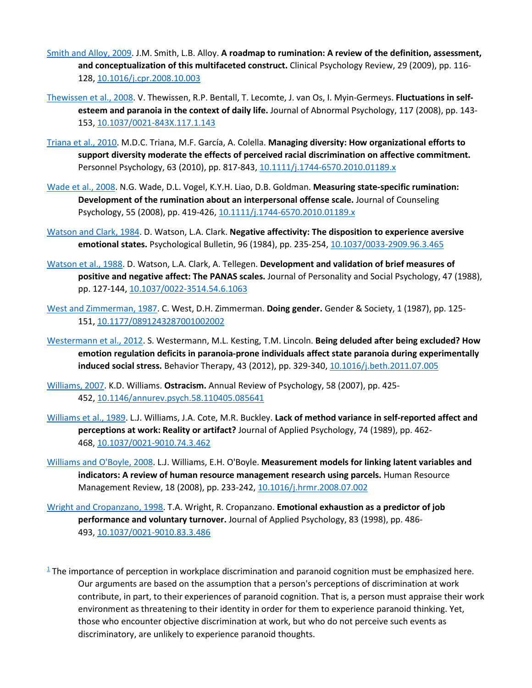- [Smith and Alloy, 2009.](https://www.sciencedirect.com/science/article/pii/S0001879117300684?via%3Dihub#bbb0400) J.M. Smith, L.B. Alloy. **A roadmap to rumination: A review of the definition, assessment, and conceptualization of this multifaceted construct.** Clinical Psychology Review, 29 (2009), pp. 116- 128, [10.1016/j.cpr.2008.10.003](https://doi.org/10.1016/j.cpr.2008.10.003)
- [Thewissen et al., 2008.](https://www.sciencedirect.com/science/article/pii/S0001879117300684?via%3Dihub#bbb0405) V. Thewissen, R.P. Bentall, T. Lecomte, J. van Os, I. Myin-Germeys. **Fluctuations in selfesteem and paranoia in the context of daily life.** Journal of Abnormal Psychology, 117 (2008), pp. 143- 153, [10.1037/0021-843X.117.1.143](https://doi.org/10.1037/0021-843X.117.1.143)
- [Triana et al., 2010.](https://www.sciencedirect.com/science/article/pii/S0001879117300684?via%3Dihub#bbb0410) M.D.C. Triana, M.F. García, A. Colella. **Managing diversity: How organizational efforts to support diversity moderate the effects of perceived racial discrimination on affective commitment.**  Personnel Psychology, 63 (2010), pp. 817-843, [10.1111/j.1744-6570.2010.01189.x](https://doi.org/10.1111/j.1744-6570.2010.01189.x)
- [Wade et al., 2008.](https://www.sciencedirect.com/science/article/pii/S0001879117300684?via%3Dihub#bbb0415) N.G. Wade, D.L. Vogel, K.Y.H. Liao, D.B. Goldman. **Measuring state-specific rumination: Development of the rumination about an interpersonal offense scale.** Journal of Counseling Psychology, 55 (2008), pp. 419-426, [10.1111/j.1744-6570.2010.01189.x](https://doi.org/10.1111/j.1744-6570.2010.01189.x)
- [Watson and Clark, 1984.](https://www.sciencedirect.com/science/article/pii/S0001879117300684?via%3Dihub#bbb0425) D. Watson, L.A. Clark. **Negative affectivity: The disposition to experience aversive emotional states.** Psychological Bulletin, 96 (1984), pp. 235-254, [10.1037/0033-2909.96.3.465](https://doi.org/10.1037/0033-2909.96.3.465)
- [Watson et al., 1988.](https://www.sciencedirect.com/science/article/pii/S0001879117300684?via%3Dihub#bbb0430) D. Watson, L.A. Clark, A. Tellegen. **Development and validation of brief measures of positive and negative affect: The PANAS scales.** Journal of Personality and Social Psychology, 47 (1988), pp. 127-144, [10.1037/0022-3514.54.6.1063](https://doi.org/10.1037/0022-3514.54.6.1063)
- [West and Zimmerman, 1987.](https://www.sciencedirect.com/science/article/pii/S0001879117300684?via%3Dihub#bbb0435) C. West, D.H. Zimmerman. **Doing gender.** Gender & Society, 1 (1987), pp. 125- 151, [10.1177/0891243287001002002](https://doi.org/10.1177/0891243287001002002)
- [Westermann et al., 2012.](https://www.sciencedirect.com/science/article/pii/S0001879117300684?via%3Dihub#bbb0440) S. Westermann, M.L. Kesting, T.M. Lincoln. **Being deluded after being excluded? How emotion regulation deficits in paranoia-prone individuals affect state paranoia during experimentally induced social stress.** Behavior Therapy, 43 (2012), pp. 329-340, [10.1016/j.beth.2011.07.005](https://doi.org/10.1016/j.beth.2011.07.005)
- [Williams, 2007.](https://www.sciencedirect.com/science/article/pii/S0001879117300684?via%3Dihub#bbb0445) K.D. Williams. **Ostracism.** Annual Review of Psychology, 58 (2007), pp. 425- 452, [10.1146/annurev.psych.58.110405.085641](https://doi.org/10.1146/annurev.psych.58.110405.085641)
- [Williams et al., 1989.](https://www.sciencedirect.com/science/article/pii/S0001879117300684?via%3Dihub#bbb0450) L.J. Williams, J.A. Cote, M.R. Buckley. **Lack of method variance in self-reported affect and perceptions at work: Reality or artifact?** Journal of Applied Psychology, 74 (1989), pp. 462- 468, [10.1037/0021-9010.74.3.462](https://doi.org/10.1037/0021-9010.74.3.462)
- [Williams and O'Boyle, 2008.](https://www.sciencedirect.com/science/article/pii/S0001879117300684?via%3Dihub#bbb0455) L.J. Williams, E.H. O'Boyle. **Measurement models for linking latent variables and indicators: A review of human resource management research using parcels.** Human Resource Management Review, 18 (2008), pp. 233-242, [10.1016/j.hrmr.2008.07.002](https://doi.org/10.1016/j.hrmr.2008.07.002)
- [Wright and Cropanzano, 1998.](https://www.sciencedirect.com/science/article/pii/S0001879117300684?via%3Dihub#bbb0460) T.A. Wright, R. Cropanzano. **Emotional exhaustion as a predictor of job performance and voluntary turnover.** Journal of Applied Psychology, 83 (1998), pp. 486- 493, [10.1037/0021-9010.83.3.486](https://doi.org/10.1037/0021-9010.83.3.486)
- $1$  The importance of perception in workplace discrimination and paranoid cognition must be emphasized here. Our arguments are based on the assumption that a person's perceptions of discrimination at work contribute, in part, to their experiences of paranoid cognition. That is, a person must appraise their work environment as threatening to their identity in order for them to experience paranoid thinking. Yet, those who encounter objective discrimination at work, but who do not perceive such events as discriminatory, are unlikely to experience paranoid thoughts.